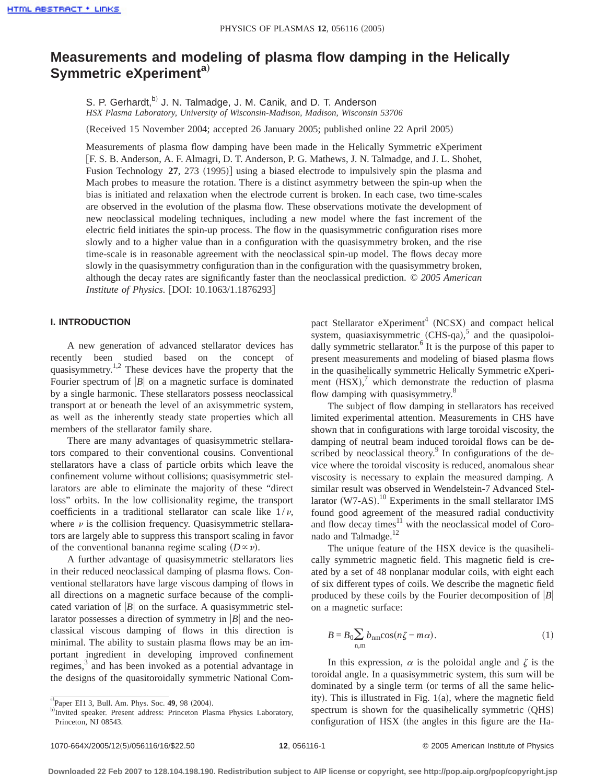# **Measurements and modeling of plasma flow damping in the Helically Symmetric eXperimenta**…

S. P. Gerhardt,<sup>b)</sup> J. N. Talmadge, J. M. Canik, and D. T. Anderson *HSX Plasma Laboratory, University of Wisconsin-Madison, Madison, Wisconsin 53706*

(Received 15 November 2004; accepted 26 January 2005; published online 22 April 2005)

Measurements of plasma flow damping have been made in the Helically Symmetric eXperiment fF. S. B. Anderson, A. F. Almagri, D. T. Anderson, P. G. Mathews, J. N. Talmadge, and J. L. Shohet, Fusion Technology 27, 273 (1995) using a biased electrode to impulsively spin the plasma and Mach probes to measure the rotation. There is a distinct asymmetry between the spin-up when the bias is initiated and relaxation when the electrode current is broken. In each case, two time-scales are observed in the evolution of the plasma flow. These observations motivate the development of new neoclassical modeling techniques, including a new model where the fast increment of the electric field initiates the spin-up process. The flow in the quasisymmetric configuration rises more slowly and to a higher value than in a configuration with the quasisymmetry broken, and the rise time-scale is in reasonable agreement with the neoclassical spin-up model. The flows decay more slowly in the quasisymmetry configuration than in the configuration with the quasisymmetry broken, although the decay rates are significantly faster than the neoclassical prediction. © *2005 American Institute of Physics.* [DOI: 10.1063/1.1876293]

# **I. INTRODUCTION**

A new generation of advanced stellarator devices has recently been studied based on the concept of quasisymmetry.<sup>1,2</sup> These devices have the property that the Fourier spectrum of  $|B|$  on a magnetic surface is dominated by a single harmonic. These stellarators possess neoclassical transport at or beneath the level of an axisymmetric system, as well as the inherently steady state properties which all members of the stellarator family share.

There are many advantages of quasisymmetric stellarators compared to their conventional cousins. Conventional stellarators have a class of particle orbits which leave the confinement volume without collisions; quasisymmetric stellarators are able to eliminate the majority of these "direct loss" orbits. In the low collisionality regime, the transport coefficients in a traditional stellarator can scale like  $1/\nu$ , where  $\nu$  is the collision frequency. Quasisymmetric stellarators are largely able to suppress this transport scaling in favor of the conventional bananna regime scaling  $(D \propto \nu)$ .

A further advantage of quasisymmetric stellarators lies in their reduced neoclassical damping of plasma flows. Conventional stellarators have large viscous damping of flows in all directions on a magnetic surface because of the complicated variation of  $|B|$  on the surface. A quasisymmetric stellarator possesses a direction of symmetry in  $|B|$  and the neoclassical viscous damping of flows in this direction is minimal. The ability to sustain plasma flows may be an important ingredient in developing improved confinement regimes,<sup>3</sup> and has been invoked as a potential advantage in the designs of the quasitoroidally symmetric National Com-

a)<br>
Paper EI1 3, Bull. Am. Phys. Soc. **49**, 98 (2004).<br>
<sup>b)</sup>Invited apocker, Present eddress: Prinactor Plac

pact Stellarator eXperiment<sup>4</sup> (NCSX) and compact helical system, quasiaxisymmetric  $(CHS-qa)$ , and the quasipoloidally symmetric stellarator. $<sup>6</sup>$  It is the purpose of this paper to</sup> present measurements and modeling of biased plasma flows in the quasihelically symmetric Helically Symmetric eXperiment  $(HSX)$ ,<sup>7</sup> which demonstrate the reduction of plasma flow damping with quasisymmetry.<sup>8</sup>

The subject of flow damping in stellarators has received limited experimental attention. Measurements in CHS have shown that in configurations with large toroidal viscosity, the damping of neutral beam induced toroidal flows can be described by neoclassical theory. $9$  In configurations of the device where the toroidal viscosity is reduced, anomalous shear viscosity is necessary to explain the measured damping. A similar result was observed in Wendelstein-7 Advanced Stellarator  $(W7-AS)$ .<sup>10</sup> Experiments in the small stellarator IMS found good agreement of the measured radial conductivity and flow decay times $11$  with the neoclassical model of Coronado and Talmadge.<sup>12</sup>

The unique feature of the HSX device is the quasihelically symmetric magnetic field. This magnetic field is created by a set of 48 nonplanar modular coils, with eight each of six different types of coils. We describe the magnetic field produced by these coils by the Fourier decomposition of  $|B|$ on a magnetic surface:

$$
B = B_0 \sum_{n,m} b_{nm} \cos(n\zeta - m\alpha). \tag{1}
$$

In this expression,  $\alpha$  is the poloidal angle and  $\zeta$  is the toroidal angle. In a quasisymmetric system, this sum will be dominated by a single term (or terms of all the same helicity). This is illustrated in Fig.  $1(a)$ , where the magnetic field spectrum is shown for the quasihelically symmetric (OHS) configuration of HSX (the angles in this figure are the Ha-

<sup>&</sup>lt;sup>b)</sup>Invited speaker. Present address: Princeton Plasma Physics Laboratory, Princeton, NJ 08543.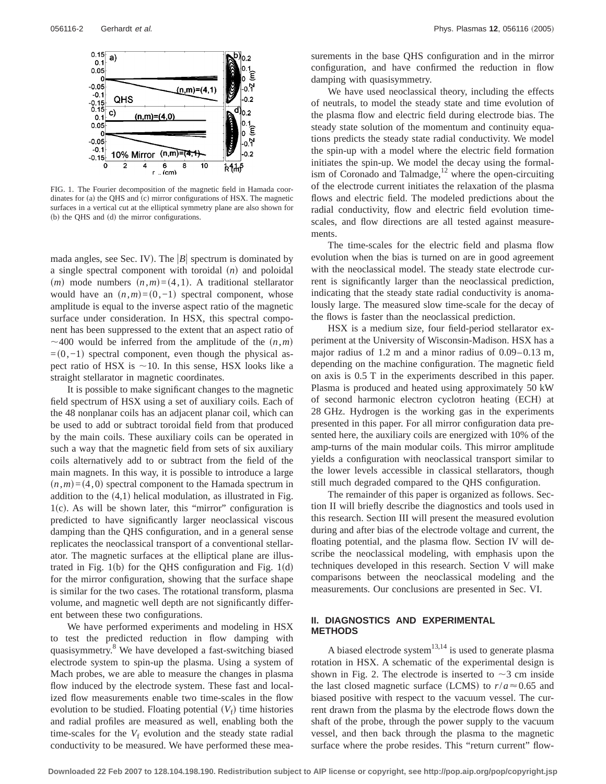

FIG. 1. The Fourier decomposition of the magnetic field in Hamada coordinates for (a) the QHS and (c) mirror configurations of HSX. The magnetic surfaces in a vertical cut at the elliptical symmetry plane are also shown for  $(b)$  the QHS and  $(d)$  the mirror configurations.

mada angles, see Sec. IV). The  $|B|$  spectrum is dominated by a single spectral component with toroidal (*n*) and poloidal  $(m)$  mode numbers  $(n,m)=(4,1)$ . A traditional stellarator would have an  $(n,m)=(0,-1)$  spectral component, whose amplitude is equal to the inverse aspect ratio of the magnetic surface under consideration. In HSX, this spectral component has been suppressed to the extent that an aspect ratio of  $\sim$ 400 would be inferred from the amplitude of the  $(n,m)$  $=(0,-1)$  spectral component, even though the physical aspect ratio of HSX is  $\sim$ 10. In this sense, HSX looks like a straight stellarator in magnetic coordinates.

It is possible to make significant changes to the magnetic field spectrum of HSX using a set of auxiliary coils. Each of the 48 nonplanar coils has an adjacent planar coil, which can be used to add or subtract toroidal field from that produced by the main coils. These auxiliary coils can be operated in such a way that the magnetic field from sets of six auxiliary coils alternatively add to or subtract from the field of the main magnets. In this way, it is possible to introduce a large  $(n,m)=(4,0)$  spectral component to the Hamada spectrum in addition to the  $(4,1)$  helical modulation, as illustrated in Fig.  $1(c)$ . As will be shown later, this "mirror" configuration is predicted to have significantly larger neoclassical viscous damping than the QHS configuration, and in a general sense replicates the neoclassical transport of a conventional stellarator. The magnetic surfaces at the elliptical plane are illustrated in Fig.  $1(b)$  for the QHS configuration and Fig.  $1(d)$ for the mirror configuration, showing that the surface shape is similar for the two cases. The rotational transform, plasma volume, and magnetic well depth are not significantly different between these two configurations.

We have performed experiments and modeling in HSX to test the predicted reduction in flow damping with quasisymmetry.<sup>8</sup> We have developed a fast-switching biased electrode system to spin-up the plasma. Using a system of Mach probes, we are able to measure the changes in plasma flow induced by the electrode system. These fast and localized flow measurements enable two time-scales in the flow evolution to be studied. Floating potential  $(V_f)$  time histories and radial profiles are measured as well, enabling both the time-scales for the  $V_f$  evolution and the steady state radial conductivity to be measured. We have performed these measurements in the base QHS configuration and in the mirror configuration, and have confirmed the reduction in flow damping with quasisymmetry.

We have used neoclassical theory, including the effects of neutrals, to model the steady state and time evolution of the plasma flow and electric field during electrode bias. The steady state solution of the momentum and continuity equations predicts the steady state radial conductivity. We model the spin-up with a model where the electric field formation initiates the spin-up. We model the decay using the formalism of Coronado and Talmadge, $^{12}$  where the open-circuiting of the electrode current initiates the relaxation of the plasma flows and electric field. The modeled predictions about the radial conductivity, flow and electric field evolution timescales, and flow directions are all tested against measurements.

The time-scales for the electric field and plasma flow evolution when the bias is turned on are in good agreement with the neoclassical model. The steady state electrode current is significantly larger than the neoclassical prediction, indicating that the steady state radial conductivity is anomalously large. The measured slow time-scale for the decay of the flows is faster than the neoclassical prediction.

HSX is a medium size, four field-period stellarator experiment at the University of Wisconsin-Madison. HSX has a major radius of 1.2 m and a minor radius of 0.09–0.13 m, depending on the machine configuration. The magnetic field on axis is 0.5 T in the experiments described in this paper. Plasma is produced and heated using approximately 50 kW of second harmonic electron cyclotron heating (ECH) at 28 GHz. Hydrogen is the working gas in the experiments presented in this paper. For all mirror configuration data presented here, the auxiliary coils are energized with 10% of the amp-turns of the main modular coils. This mirror amplitude yields a configuration with neoclassical transport similar to the lower levels accessible in classical stellarators, though still much degraded compared to the QHS configuration.

The remainder of this paper is organized as follows. Section II will briefly describe the diagnostics and tools used in this research. Section III will present the measured evolution during and after bias of the electrode voltage and current, the floating potential, and the plasma flow. Section IV will describe the neoclassical modeling, with emphasis upon the techniques developed in this research. Section V will make comparisons between the neoclassical modeling and the measurements. Our conclusions are presented in Sec. VI.

# **II. DIAGNOSTICS AND EXPERIMENTAL METHODS**

A biased electrode system<sup>13,14</sup> is used to generate plasma rotation in HSX. A schematic of the experimental design is shown in Fig. 2. The electrode is inserted to  $\sim$ 3 cm inside the last closed magnetic surface (LCMS) to  $r/a \approx 0.65$  and biased positive with respect to the vacuum vessel. The current drawn from the plasma by the electrode flows down the shaft of the probe, through the power supply to the vacuum vessel, and then back through the plasma to the magnetic surface where the probe resides. This "return current" flow-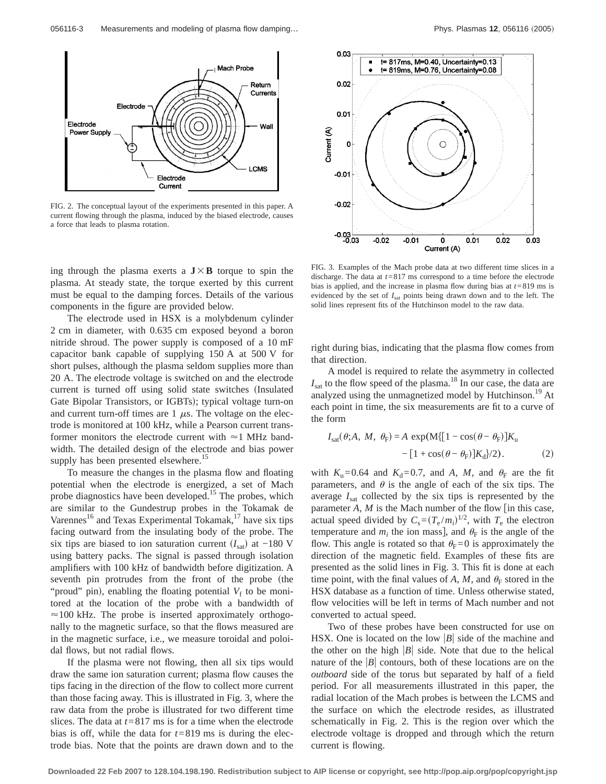

FIG. 2. The conceptual layout of the experiments presented in this paper. A current flowing through the plasma, induced by the biased electrode, causes a force that leads to plasma rotation.

ing through the plasma exerts a  $J \times B$  torque to spin the plasma. At steady state, the torque exerted by this current must be equal to the damping forces. Details of the various components in the figure are provided below.

The electrode used in HSX is a molybdenum cylinder 2 cm in diameter, with 0.635 cm exposed beyond a boron nitride shroud. The power supply is composed of a 10 mF capacitor bank capable of supplying 150 A at 500 V for short pulses, although the plasma seldom supplies more than 20 A. The electrode voltage is switched on and the electrode current is turned off using solid state switches (Insulated Gate Bipolar Transistors, or IGBTs); typical voltage turn-on and current turn-off times are  $1 \mu s$ . The voltage on the electrode is monitored at 100 kHz, while a Pearson current transformer monitors the electrode current with  $\approx$  1 MHz bandwidth. The detailed design of the electrode and bias power supply has been presented elsewhere.<sup>15</sup>

To measure the changes in the plasma flow and floating potential when the electrode is energized, a set of Mach probe diagnostics have been developed.<sup>15</sup> The probes, which are similar to the Gundestrup probes in the Tokamak de Varennes<sup>16</sup> and Texas Experimental Tokamak,<sup>17</sup> have six tips facing outward from the insulating body of the probe. The six tips are biased to ion saturation current  $(I<sub>sat</sub>)$  at −180 V using battery packs. The signal is passed through isolation amplifiers with 100 kHz of bandwidth before digitization. A seventh pin protrudes from the front of the probe (the "proud" pin), enabling the floating potential  $V_f$  to be monitored at the location of the probe with a bandwidth of  $\approx$  100 kHz. The probe is inserted approximately orthogonally to the magnetic surface, so that the flows measured are in the magnetic surface, i.e., we measure toroidal and poloidal flows, but not radial flows.

If the plasma were not flowing, then all six tips would draw the same ion saturation current; plasma flow causes the tips facing in the direction of the flow to collect more current than those facing away. This is illustrated in Fig. 3, where the raw data from the probe is illustrated for two different time slices. The data at  $t = 817$  ms is for a time when the electrode bias is off, while the data for *t*=819 ms is during the electrode bias. Note that the points are drawn down and to the



FIG. 3. Examples of the Mach probe data at two different time slices in a discharge. The data at *t*=817 ms correspond to a time before the electrode bias is applied, and the increase in plasma flow during bias at *t*=819 ms is evidenced by the set of *I*sat points being drawn down and to the left. The solid lines represent fits of the Hutchinson model to the raw data.

right during bias, indicating that the plasma flow comes from that direction.

A model is required to relate the asymmetry in collected  $I<sub>sat</sub>$  to the flow speed of the plasma.<sup>18</sup> In our case, the data are analyzed using the unmagnetized model by Hutchinson.<sup>19</sup> At each point in time, the six measurements are fit to a curve of the form

$$
I_{\text{sat}}(\theta; A, M, \theta_{\text{F}}) = A \exp(M\{[1 - \cos(\theta - \theta_{\text{F}})]K_{\text{u}} - [1 + \cos(\theta - \theta_{\text{F}})]K_{\text{d}}\}/2). \tag{2}
$$

with  $K_u = 0.64$  and  $K_d = 0.7$ , and A, M, and  $\theta_F$  are the fit parameters, and  $\theta$  is the angle of each of the six tips. The average *I*sat collected by the six tips is represented by the parameter  $A$ ,  $M$  is the Mach number of the flow  $\left[$  in this case, actual speed divided by  $C_s = (T_e / m_i)^{1/2}$ , with  $T_e$  the electron temperature and  $m_i$  the ion mass], and  $\theta_F$  is the angle of the flow. This angle is rotated so that  $\theta_F=0$  is approximately the direction of the magnetic field. Examples of these fits are presented as the solid lines in Fig. 3. This fit is done at each time point, with the final values of A, M, and  $\theta_F$  stored in the HSX database as a function of time. Unless otherwise stated, flow velocities will be left in terms of Mach number and not converted to actual speed.

Two of these probes have been constructed for use on HSX. One is located on the low  $|B|$  side of the machine and the other on the high  $|B|$  side. Note that due to the helical nature of the  $|B|$  contours, both of these locations are on the *outboard* side of the torus but separated by half of a field period. For all measurements illustrated in this paper, the radial location of the Mach probes is between the LCMS and the surface on which the electrode resides, as illustrated schematically in Fig. 2. This is the region over which the electrode voltage is dropped and through which the return current is flowing.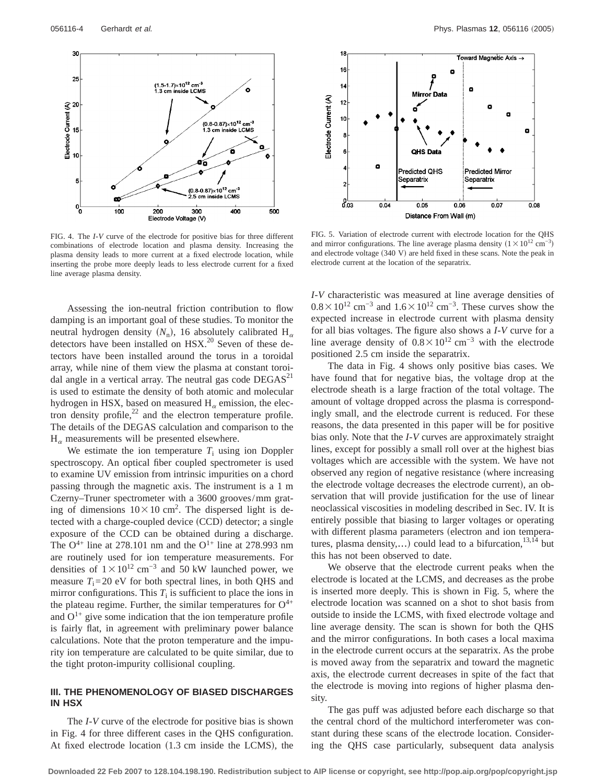

FIG. 4. The *I*-*V* curve of the electrode for positive bias for three different combinations of electrode location and plasma density. Increasing the plasma density leads to more current at a fixed electrode location, while inserting the probe more deeply leads to less electrode current for a fixed line average plasma density.

Assessing the ion-neutral friction contribution to flow damping is an important goal of these studies. To monitor the neutral hydrogen density  $(N_n)$ , 16 absolutely calibrated H<sub> $\alpha$ </sub> detectors have been installed on  $HSX$ .<sup>20</sup> Seven of these detectors have been installed around the torus in a toroidal array, while nine of them view the plasma at constant toroidal angle in a vertical array. The neutral gas code  $DEGAS<sup>21</sup>$ is used to estimate the density of both atomic and molecular hydrogen in HSX, based on measured  $H_{\alpha}$  emission, the electron density profile, $^{22}$  and the electron temperature profile. The details of the DEGAS calculation and comparison to the  $H_{\alpha}$  measurements will be presented elsewhere.

We estimate the ion temperature  $T_i$  using ion Doppler spectroscopy. An optical fiber coupled spectrometer is used to examine UV emission from intrinsic impurities on a chord passing through the magnetic axis. The instrument is a 1 m Czerny–Truner spectrometer with a 3600 grooves/mm grating of dimensions  $10 \times 10$  cm<sup>2</sup>. The dispersed light is detected with a charge-coupled device (CCD) detector; a single exposure of the CCD can be obtained during a discharge. The  $O^{4+}$  line at 278.101 nm and the  $O^{1+}$  line at 278.993 nm are routinely used for ion temperature measurements. For densities of  $1 \times 10^{12}$  cm<sup>-3</sup> and 50 kW launched power, we measure  $T_i = 20$  eV for both spectral lines, in both QHS and mirror configurations. This  $T_i$  is sufficient to place the ions in the plateau regime. Further, the similar temperatures for  $O^{4+}$ and  $O^{1+}$  give some indication that the ion temperature profile is fairly flat, in agreement with preliminary power balance calculations. Note that the proton temperature and the impurity ion temperature are calculated to be quite similar, due to the tight proton-impurity collisional coupling.

# **III. THE PHENOMENOLOGY OF BIASED DISCHARGES IN HSX**

The *I*-*V* curve of the electrode for positive bias is shown in Fig. 4 for three different cases in the QHS configuration. At fixed electrode location  $(1.3 \text{ cm})$  inside the LCMS), the



FIG. 5. Variation of electrode current with electrode location for the QHS and mirror configurations. The line average plasma density  $(1 \times 10^{12} \text{ cm}^{-3})$ and electrode voltage  $(340 V)$  are held fixed in these scans. Note the peak in electrode current at the location of the separatrix.

*I*-*V* characteristic was measured at line average densities of  $0.8 \times 10^{12}$  cm<sup>-3</sup> and  $1.6 \times 10^{12}$  cm<sup>-3</sup>. These curves show the expected increase in electrode current with plasma density for all bias voltages. The figure also shows a *I*-*V* curve for a line average density of  $0.8 \times 10^{12}$  cm<sup>-3</sup> with the electrode positioned 2.5 cm inside the separatrix.

The data in Fig. 4 shows only positive bias cases. We have found that for negative bias, the voltage drop at the electrode sheath is a large fraction of the total voltage. The amount of voltage dropped across the plasma is correspondingly small, and the electrode current is reduced. For these reasons, the data presented in this paper will be for positive bias only. Note that the *I*-*V* curves are approximately straight lines, except for possibly a small roll over at the highest bias voltages which are accessible with the system. We have not observed any region of negative resistance (where increasing the electrode voltage decreases the electrode current), an observation that will provide justification for the use of linear neoclassical viscosities in modeling described in Sec. IV. It is entirely possible that biasing to larger voltages or operating with different plasma parameters (electron and ion temperatures, plasma density,...) could lead to a bifurcation,  $^{13,14}$  but this has not been observed to date.

We observe that the electrode current peaks when the electrode is located at the LCMS, and decreases as the probe is inserted more deeply. This is shown in Fig. 5, where the electrode location was scanned on a shot to shot basis from outside to inside the LCMS, with fixed electrode voltage and line average density. The scan is shown for both the QHS and the mirror configurations. In both cases a local maxima in the electrode current occurs at the separatrix. As the probe is moved away from the separatrix and toward the magnetic axis, the electrode current decreases in spite of the fact that the electrode is moving into regions of higher plasma density.

The gas puff was adjusted before each discharge so that the central chord of the multichord interferometer was constant during these scans of the electrode location. Considering the QHS case particularly, subsequent data analysis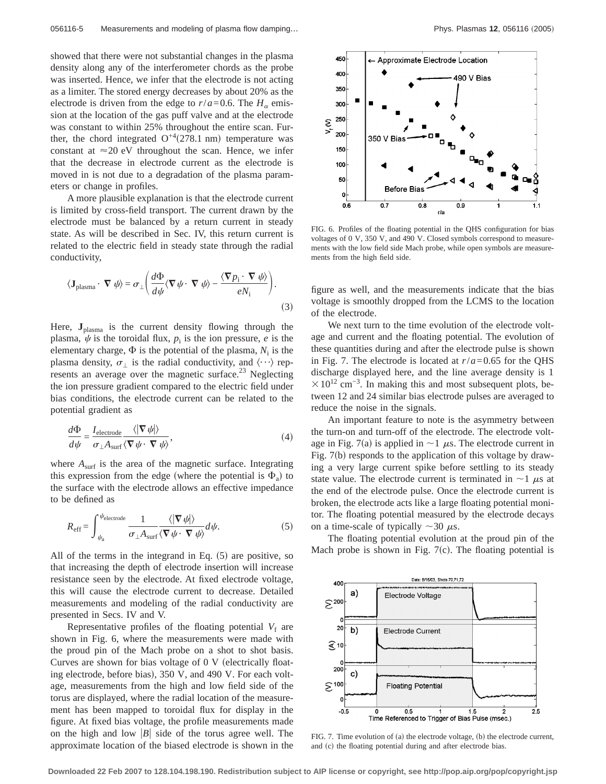showed that there were not substantial changes in the plasma density along any of the interferometer chords as the probe was inserted. Hence, we infer that the electrode is not acting as a limiter. The stored energy decreases by about 20% as the electrode is driven from the edge to  $r/a = 0.6$ . The  $H_a$  emission at the location of the gas puff valve and at the electrode was constant to within 25% throughout the entire scan. Further, the chord integrated  $O^{+4}(278.1 \text{ nm})$  temperature was constant at  $\approx$  20 eV throughout the scan. Hence, we infer that the decrease in electrode current as the electrode is moved in is not due to a degradation of the plasma parameters or change in profiles.

A more plausible explanation is that the electrode current is limited by cross-field transport. The current drawn by the electrode must be balanced by a return current in steady state. As will be described in Sec. IV, this return current is related to the electric field in steady state through the radial conductivity,

$$
\langle \mathbf{J}_{\text{plasma}} \cdot \nabla \psi \rangle = \sigma_{\perp} \left( \frac{d\Phi}{d\psi} \langle \nabla \psi \cdot \nabla \psi \rangle - \frac{\langle \nabla p_i \cdot \nabla \psi \rangle}{eN_i} \right). \tag{3}
$$

Here, **J**plasma is the current density flowing through the plasma,  $\psi$  is the toroidal flux,  $p_i$  is the ion pressure, *e* is the elementary charge,  $\Phi$  is the potential of the plasma,  $N_i$  is the plasma density,  $\sigma_{\perp}$  is the radial conductivity, and  $\langle \cdots \rangle$  represents an average over the magnetic surface.<sup>23</sup> Neglecting the ion pressure gradient compared to the electric field under bias conditions, the electrode current can be related to the potential gradient as

$$
\frac{d\Phi}{d\psi} = \frac{I_{\text{electrode}}}{\sigma_{\perp} A_{\text{surf}} \langle \nabla \psi \cdot \nabla \psi \rangle},\tag{4}
$$

where  $A_{\text{surf}}$  is the area of the magnetic surface. Integrating this expression from the edge (where the potential is  $\Phi_a$ ) to the surface with the electrode allows an effective impedance to be defined as

$$
R_{\text{eff}} = \int_{\psi_{\text{a}}}^{\psi_{\text{electrode}}} \frac{1}{\sigma_{\perp} A_{\text{surf}} \langle \nabla \psi, \nabla \psi \rangle} d\psi. \tag{5}
$$

All of the terms in the integrand in Eq.  $(5)$  are positive, so that increasing the depth of electrode insertion will increase resistance seen by the electrode. At fixed electrode voltage, this will cause the electrode current to decrease. Detailed measurements and modeling of the radial conductivity are presented in Secs. IV and V.

Representative profiles of the floating potential  $V_f$  are shown in Fig. 6, where the measurements were made with the proud pin of the Mach probe on a shot to shot basis. Curves are shown for bias voltage of  $0 \vee$  (electrically floating electrode, before bias), 350 V, and 490 V. For each voltage, measurements from the high and low field side of the torus are displayed, where the radial location of the measurement has been mapped to toroidal flux for display in the figure. At fixed bias voltage, the profile measurements made on the high and low  $|B|$  side of the torus agree well. The approximate location of the biased electrode is shown in the



FIG. 6. Profiles of the floating potential in the QHS configuration for bias voltages of 0 V, 350 V, and 490 V. Closed symbols correspond to measurements with the low field side Mach probe, while open symbols are measurements from the high field side.

figure as well, and the measurements indicate that the bias voltage is smoothly dropped from the LCMS to the location of the electrode.

We next turn to the time evolution of the electrode voltage and current and the floating potential. The evolution of these quantities during and after the electrode pulse is shown in Fig. 7. The electrode is located at  $r/a = 0.65$  for the QHS discharge displayed here, and the line average density is 1  $\times$ 10<sup>12</sup> cm<sup>-3</sup>. In making this and most subsequent plots, between 12 and 24 similar bias electrode pulses are averaged to reduce the noise in the signals.

An important feature to note is the asymmetry between the turn-on and turn-off of the electrode. The electrode voltage in Fig. 7(a) is applied in  $\sim$ 1  $\mu$ s. The electrode current in Fig.  $7(b)$  responds to the application of this voltage by drawing a very large current spike before settling to its steady state value. The electrode current is terminated in  $\sim$ 1  $\mu$ s at the end of the electrode pulse. Once the electrode current is broken, the electrode acts like a large floating potential monitor. The floating potential measured by the electrode decays on a time-scale of typically  $\sim$ 30  $\mu$ s.

The floating potential evolution at the proud pin of the Mach probe is shown in Fig.  $7(c)$ . The floating potential is



FIG. 7. Time evolution of (a) the electrode voltage, (b) the electrode current, and (c) the floating potential during and after electrode bias.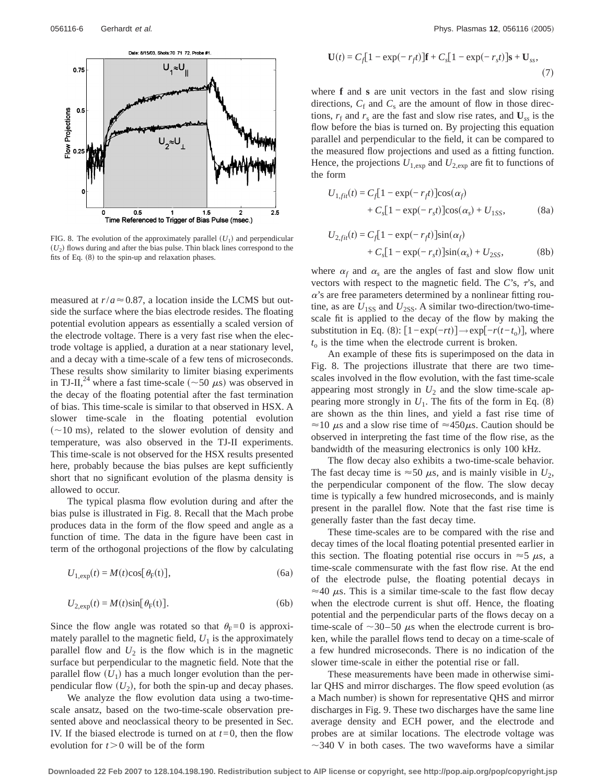

FIG. 8. The evolution of the approximately parallel  $(U_1)$  and perpendicular  $(U_2)$  flows during and after the bias pulse. Thin black lines correspond to the fits of Eq.  $(8)$  to the spin-up and relaxation phases.

measured at  $r/a \approx 0.87$ , a location inside the LCMS but outside the surface where the bias electrode resides. The floating potential evolution appears as essentially a scaled version of the electrode voltage. There is a very fast rise when the electrode voltage is applied, a duration at a near stationary level, and a decay with a time-scale of a few tens of microseconds. These results show similarity to limiter biasing experiments in TJ-II,<sup>24</sup> where a fast time-scale ( $\sim$  50  $\mu$ s) was observed in the decay of the floating potential after the fast termination of bias. This time-scale is similar to that observed in HSX. A slower time-scale in the floating potential evolution  $(\sim10 \text{ ms})$ , related to the slower evolution of density and temperature, was also observed in the TJ-II experiments. This time-scale is not observed for the HSX results presented here, probably because the bias pulses are kept sufficiently short that no significant evolution of the plasma density is allowed to occur.

The typical plasma flow evolution during and after the bias pulse is illustrated in Fig. 8. Recall that the Mach probe produces data in the form of the flow speed and angle as a function of time. The data in the figure have been cast in term of the orthogonal projections of the flow by calculating

$$
U_{1, \exp}(t) = M(t)\cos[\theta_F(t)], \tag{6a}
$$

$$
U_{2, \exp}(t) = M(t)\sin[\theta_F(t)].
$$
\n(6b)

Since the flow angle was rotated so that  $\theta_F=0$  is approximately parallel to the magnetic field,  $U_1$  is the approximately parallel flow and  $U_2$  is the flow which is in the magnetic surface but perpendicular to the magnetic field. Note that the parallel flow  $(U_1)$  has a much longer evolution than the perpendicular flow  $(U_2)$ , for both the spin-up and decay phases.

We analyze the flow evolution data using a two-timescale ansatz, based on the two-time-scale observation presented above and neoclassical theory to be presented in Sec. IV. If the biased electrode is turned on at  $t=0$ , then the flow evolution for  $t > 0$  will be of the form

$$
\mathbf{U}(t) = C_f [1 - \exp(-r_f t)] \mathbf{f} + C_s [1 - \exp(-r_s t)] \mathbf{s} + \mathbf{U}_{ss},
$$
\n(7)

where **f** and **s** are unit vectors in the fast and slow rising directions,  $C_f$  and  $C_s$  are the amount of flow in those directions,  $r_f$  and  $r_s$  are the fast and slow rise rates, and  $U_{ss}$  is the flow before the bias is turned on. By projecting this equation parallel and perpendicular to the field, it can be compared to the measured flow projections and used as a fitting function. Hence, the projections  $U_{1,exp}$  and  $U_{2,exp}$  are fit to functions of the form

$$
U_{1,fit}(t) = C_f [1 - \exp(-r_f t)] \cos(\alpha_f)
$$
  
+ 
$$
C_s [1 - \exp(-r_s t)] \cos(\alpha_s) + U_{1SS},
$$
 (8a)

$$
U_{2,fit}(t) = C_f [1 - \exp(-r_f t)] \sin(\alpha_f)
$$
  
+ C<sub>s</sub> [1 - \exp(-r<sub>s</sub>t)] sin(\alpha<sub>s</sub>) + U<sub>2SS</sub>, (8b)

where  $\alpha_f$  and  $\alpha_s$  are the angles of fast and slow flow unit vectors with respect to the magnetic field. The  $C$ 's,  $\tau$ 's, and  $\alpha$ 's are free parameters determined by a nonlinear fitting routine, as are  $U_{1SS}$  and  $U_{2SS}$ . A similar two-direction/two-timescale fit is applied to the decay of the flow by making the substitution in Eq. (8):  $[1-exp(-rt)] \rightarrow exp[-r(t-t_0)]$ , where  $t_0$  is the time when the electrode current is broken.

An example of these fits is superimposed on the data in Fig. 8. The projections illustrate that there are two timescales involved in the flow evolution, with the fast time-scale appearing most strongly in  $U_2$  and the slow time-scale appearing more strongly in  $U_1$ . The fits of the form in Eq.  $(8)$ are shown as the thin lines, and yield a fast rise time of  $\approx$  10  $\mu$ s and a slow rise time of  $\approx$  450 $\mu$ s. Caution should be observed in interpreting the fast time of the flow rise, as the bandwidth of the measuring electronics is only 100 kHz.

The flow decay also exhibits a two-time-scale behavior. The fast decay time is  $\approx$  50  $\mu$ s, and is mainly visible in  $U_2$ , the perpendicular component of the flow. The slow decay time is typically a few hundred microseconds, and is mainly present in the parallel flow. Note that the fast rise time is generally faster than the fast decay time.

These time-scales are to be compared with the rise and decay times of the local floating potential presented earlier in this section. The floating potential rise occurs in  $\approx$  5  $\mu$ s, a time-scale commensurate with the fast flow rise. At the end of the electrode pulse, the floating potential decays in  $\approx$ 40  $\mu$ s. This is a similar time-scale to the fast flow decay when the electrode current is shut off. Hence, the floating potential and the perpendicular parts of the flows decay on a time-scale of  $\sim$ 30–50  $\mu$ s when the electrode current is broken, while the parallel flows tend to decay on a time-scale of a few hundred microseconds. There is no indication of the slower time-scale in either the potential rise or fall.

These measurements have been made in otherwise similar QHS and mirror discharges. The flow speed evolution (as a Mach number) is shown for representative QHS and mirror discharges in Fig. 9. These two discharges have the same line average density and ECH power, and the electrode and probes are at similar locations. The electrode voltage was  $\sim$ 340 V in both cases. The two waveforms have a similar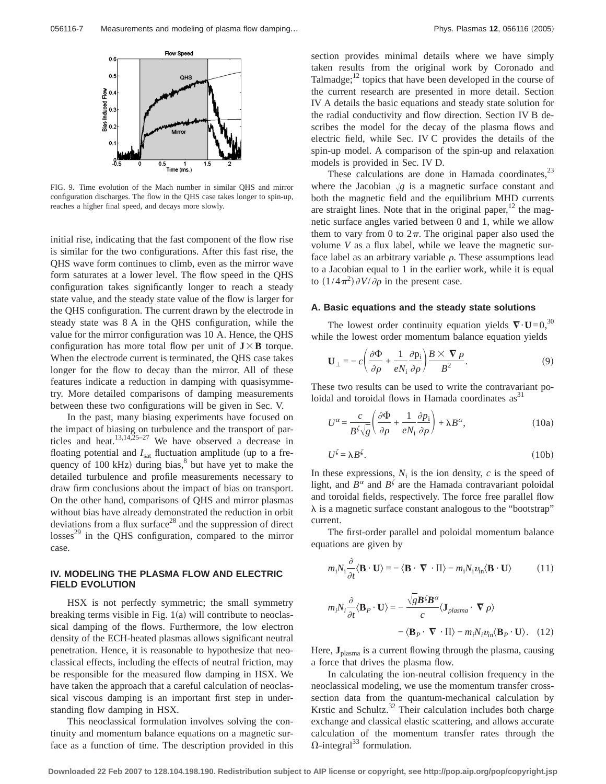

FIG. 9. Time evolution of the Mach number in similar QHS and mirror configuration discharges. The flow in the QHS case takes longer to spin-up, reaches a higher final speed, and decays more slowly.

initial rise, indicating that the fast component of the flow rise is similar for the two configurations. After this fast rise, the QHS wave form continues to climb, even as the mirror wave form saturates at a lower level. The flow speed in the QHS configuration takes significantly longer to reach a steady state value, and the steady state value of the flow is larger for the QHS configuration. The current drawn by the electrode in steady state was 8 A in the QHS configuration, while the value for the mirror configuration was 10 A. Hence, the QHS configuration has more total flow per unit of  $J \times B$  torque. When the electrode current is terminated, the QHS case takes longer for the flow to decay than the mirror. All of these features indicate a reduction in damping with quasisymmetry. More detailed comparisons of damping measurements between these two configurations will be given in Sec. V.

In the past, many biasing experiments have focused on the impact of biasing on turbulence and the transport of particles and heat.<sup>13,14,25-27</sup> We have observed a decrease in floating potential and  $I<sub>sat</sub>$  fluctuation amplitude (up to a frequency of 100 kHz) during bias, $8$  but have yet to make the detailed turbulence and profile measurements necessary to draw firm conclusions about the impact of bias on transport. On the other hand, comparisons of QHS and mirror plasmas without bias have already demonstrated the reduction in orbit deviations from a flux surface<sup>28</sup> and the suppression of direct losses<sup>29</sup> in the QHS configuration, compared to the mirror case.

### **IV. MODELING THE PLASMA FLOW AND ELECTRIC FIELD EVOLUTION**

HSX is not perfectly symmetric; the small symmetry breaking terms visible in Fig.  $1(a)$  will contribute to neoclassical damping of the flows. Furthermore, the low electron density of the ECH-heated plasmas allows significant neutral penetration. Hence, it is reasonable to hypothesize that neoclassical effects, including the effects of neutral friction, may be responsible for the measured flow damping in HSX. We have taken the approach that a careful calculation of neoclassical viscous damping is an important first step in understanding flow damping in HSX.

This neoclassical formulation involves solving the continuity and momentum balance equations on a magnetic surface as a function of time. The description provided in this section provides minimal details where we have simply taken results from the original work by Coronado and Talmadge; $^{12}$  topics that have been developed in the course of the current research are presented in more detail. Section IV A details the basic equations and steady state solution for the radial conductivity and flow direction. Section IV B describes the model for the decay of the plasma flows and electric field, while Sec. IV C provides the details of the spin-up model. A comparison of the spin-up and relaxation models is provided in Sec. IV D.

These calculations are done in Hamada coordinates,  $2<sup>3</sup>$ where the Jacobian  $\sqrt{g}$  is a magnetic surface constant and both the magnetic field and the equilibrium MHD currents are straight lines. Note that in the original paper, $12$  the magnetic surface angles varied between  $0$  and  $1$ , while we allow them to vary from 0 to  $2\pi$ . The original paper also used the volume *V* as a flux label, while we leave the magnetic surface label as an arbitrary variable  $\rho$ . These assumptions lead to a Jacobian equal to 1 in the earlier work, while it is equal to  $(1/4\pi^2)\partial V/\partial \rho$  in the present case.

#### **A. Basic equations and the steady state solutions**

The lowest order continuity equation yields  $\nabla \cdot \mathbf{U} = 0$ ,<sup>30</sup> while the lowest order momentum balance equation yields

$$
\mathbf{U}_{\perp} = -c \left( \frac{\partial \Phi}{\partial \rho} + \frac{1}{e N_{i}} \frac{\partial p_{i}}{\partial \rho} \right) \frac{B \times \nabla \rho}{B^{2}}.
$$
 (9)

These two results can be used to write the contravariant poloidal and toroidal flows in Hamada coordinates  $as<sup>31</sup>$ 

$$
U^{\alpha} = \frac{c}{B^{\zeta} \sqrt{g}} \left( \frac{\partial \Phi}{\partial \rho} + \frac{1}{e N_{i}} \frac{\partial p_{i}}{\partial \rho} \right) + \lambda B^{\alpha}, \qquad (10a)
$$

$$
U^{\zeta} = \lambda B^{\zeta}.
$$
 (10b)

In these expressions,  $N_i$  is the ion density,  $c$  is the speed of light, and  $B^{\alpha}$  and  $B^{\zeta}$  are the Hamada contravariant poloidal and toroidal fields, respectively. The force free parallel flow  $\lambda$  is a magnetic surface constant analogous to the "bootstrap" current.

The first-order parallel and poloidal momentum balance equations are given by

$$
m_{\rm i}N_{\rm i}\frac{\partial}{\partial t}\langle \mathbf{B}\cdot\mathbf{U}\rangle = -\langle \mathbf{B}\cdot\boldsymbol{\nabla}\cdot\Pi\rangle - m_{\rm i}N_{\rm i}\nu_{\rm in}\langle\mathbf{B}\cdot\mathbf{U}\rangle \tag{11}
$$

$$
m_i N_i \frac{\partial}{\partial t} \langle \mathbf{B}_P \cdot \mathbf{U} \rangle = -\frac{\sqrt{g} \mathbf{B}^{\xi} \mathbf{B}^{\alpha}}{c} \langle \mathbf{J}_{plasma} \cdot \nabla \rho \rangle
$$

$$
-\langle \mathbf{B}_P \cdot \nabla \cdot \Pi \rangle - m_i N_i v_{in} \langle \mathbf{B}_P \cdot \mathbf{U} \rangle. \quad (12)
$$

Here,  $J_{\text{plasma}}$  is a current flowing through the plasma, causing a force that drives the plasma flow.

In calculating the ion-neutral collision frequency in the neoclassical modeling, we use the momentum transfer crosssection data from the quantum-mechanical calculation by Krstic and Schultz. $32$  Their calculation includes both charge exchange and classical elastic scattering, and allows accurate calculation of the momentum transfer rates through the  $\Omega$ -integral<sup>33</sup> formulation.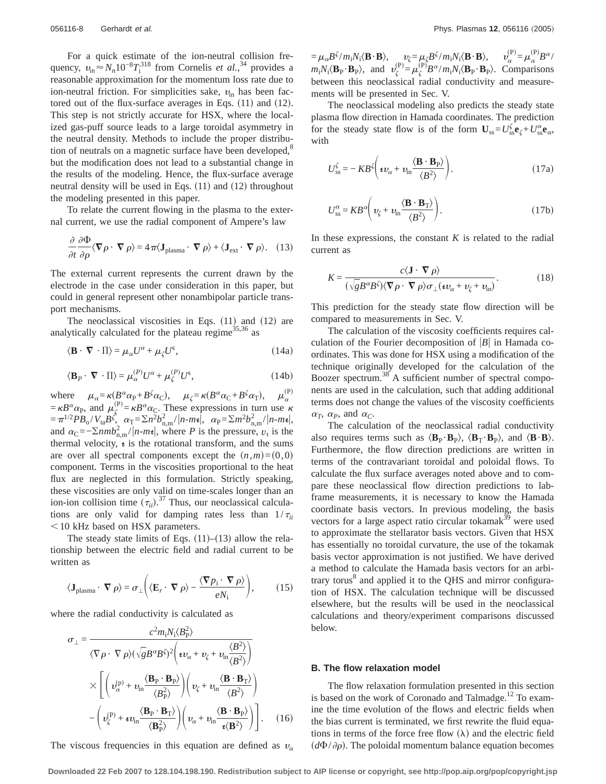For a quick estimate of the ion-neutral collision frequency,  $v_{\text{in}} \approx N_{\text{n}} 10^{-8} T_{\text{i}}^{318}$  from Cornelis *et al.*,<sup>34</sup> provides a reasonable approximation for the momentum loss rate due to ion-neutral friction. For simplicities sake,  $v_{in}$  has been factored out of the flux-surface averages in Eqs.  $(11)$  and  $(12)$ . This step is not strictly accurate for HSX, where the localized gas-puff source leads to a large toroidal asymmetry in the neutral density. Methods to include the proper distribution of neutrals on a magnetic surface have been developed,<sup>8</sup> but the modification does not lead to a substantial change in the results of the modeling. Hence, the flux-surface average neutral density will be used in Eqs.  $(11)$  and  $(12)$  throughout the modeling presented in this paper.

To relate the current flowing in the plasma to the external current, we use the radial component of Ampere's law

$$
\frac{\partial}{\partial t} \frac{\partial \Phi}{\partial \rho} \langle \nabla \rho \cdot \nabla \rho \rangle = 4 \pi \langle \mathbf{J}_{\text{plasma}} \cdot \nabla \rho \rangle + \langle \mathbf{J}_{\text{ext}} \cdot \nabla \rho \rangle. \quad (13)
$$

The external current represents the current drawn by the electrode in the case under consideration in this paper, but could in general represent other nonambipolar particle transport mechanisms.

The neoclassical viscosities in Eqs.  $(11)$  and  $(12)$  are analytically calculated for the plateau regime $^{35,36}$  as

$$
\langle \mathbf{B} \cdot \nabla \cdot \Pi \rangle = \mu_{\alpha} U^{\alpha} + \mu_{\zeta} U^{s}, \qquad (14a)
$$

$$
\langle \mathbf{B}_P \cdot \nabla \cdot \Pi \rangle = \mu_\alpha^{(P)} U^\alpha + \mu_\zeta^{(P)} U^{\mathsf{s}},\tag{14b}
$$

where  $\mu_{\alpha} = \kappa (B^{\alpha} \alpha_{\rm P} + B^{\zeta} \alpha_{\rm C}), \quad \mu_{\zeta} = \kappa (B^{\alpha} \alpha_{\rm C} + B^{\zeta} \alpha_{\rm T}), \quad \mu_{\alpha}^{(P)}$  $=\kappa B^{\alpha} \alpha_{\rm p}$ , and  $\mu_{\zeta}^{(\rm p)} = \kappa B^{\alpha} \alpha_{\rm C}$ . These expressions in turn use  $\kappa$  $=\pi^{1/2}PB_{o}/V_{ta}B^{\zeta}$ ,  $\alpha_{\text{T}} = \sum n^{2}b_{n,m}^{2}/|n-m\tau|$ ,  $\alpha_{\text{P}} = \sum m^{2}b_{n,m}^{2}/|n-m\tau|$ , and  $\alpha_{\rm C} = -\sum nmb_{\rm n,m}^2/|n-m\mathbf{t}|$ , where *P* is the pressure,  $v_{\rm t}$  is the thermal velocity,  $\boldsymbol{\iota}$  is the rotational transform, and the sums are over all spectral components except the  $(n,m)=(0,0)$ component. Terms in the viscosities proportional to the heat flux are neglected in this formulation. Strictly speaking, these viscosities are only valid on time-scales longer than an ion-ion collision time  $(\tau_{ii})$ .<sup>37</sup> Thus, our neoclassical calculations are only valid for damping rates less than  $1/\tau_{ii}$ ,10 kHz based on HSX parameters.

The steady state limits of Eqs.  $(11)$ – $(13)$  allow the relationship between the electric field and radial current to be written as

$$
\langle \mathbf{J}_{\text{plasma}} \cdot \nabla \rho \rangle = \sigma_{\perp} \bigg( \langle \mathbf{E}_r \cdot \nabla \rho \rangle - \frac{\langle \nabla p_i \cdot \nabla \rho \rangle}{e N_i} \bigg), \quad (15)
$$

where the radial conductivity is calculated as

$$
\sigma_{\perp} = \frac{c^2 m_i N_i \langle B_P^2 \rangle}{\langle \nabla \rho \cdot \nabla \rho \rangle (\sqrt{g} B^{\alpha} B^{\zeta})^2 \left( i v_{\alpha} + v_{\zeta} + v_{\rm in} \frac{\langle B^2 \rangle}{\langle B^2 \rangle} \right)}
$$

$$
\times \left[ \left( v_{\alpha}^{(p)} + v_{\rm in} \frac{\langle \mathbf{B}_P \cdot \mathbf{B}_P \rangle}{\langle B_P^2 \rangle} \right) \left( v_{\zeta} + v_{\rm in} \frac{\langle \mathbf{B} \cdot \mathbf{B}_T \rangle}{\langle B^2 \rangle} \right) - \left( v_{\zeta}^{(p)} + i v_{\rm in} \frac{\langle \mathbf{B}_P \cdot \mathbf{B}_T \rangle}{\langle B_P^2 \rangle} \right) \left( v_{\alpha} + v_{\rm in} \frac{\langle \mathbf{B} \cdot \mathbf{B}_P \rangle}{\langle \mathbf{B}^2 \rangle} \right) \right]. \quad (16)
$$

The viscous frequencies in this equation are defined as  $v_\alpha$ 

 $=\mu_{\alpha}B^{\zeta}/m_{\rm i}N_{\rm i}\langle\mathbf{B}\cdot\mathbf{B}\rangle, \qquad v_{\zeta}=\mu_{\zeta}B^{\zeta}/m_{\rm i}N_{\rm i}\langle\mathbf{B}\cdot\mathbf{B}\rangle, \qquad v_{\alpha}^{\rm (P)}=\mu_{\alpha}^{\rm (P)}B^{\alpha}/\langle\mathbf{B}\cdot\mathbf{B}\rangle.$  $m_i N_i (\mathbf{B}_P \cdot \mathbf{B}_P)$ , and  $v_{\zeta}^{(P)} = \mu_{\zeta}^{(P)} B^{\alpha} / m_i N_i (\mathbf{B}_P \cdot \mathbf{B}_P)$ . Comparisons between this neoclassical radial conductivity and measurements will be presented in Sec. V.

The neoclassical modeling also predicts the steady state plasma flow direction in Hamada coordinates. The prediction for the steady state flow is of the form  $\mathbf{U}_{ss} = U_{ss}^{\zeta} \mathbf{e}_{\zeta} + U_{ss}^{\alpha} \mathbf{e}_{\alpha}$ , with

$$
U_{\rm ss}^{\zeta} = -KB^{\zeta} \left( \iota v_{\alpha} + v_{\rm in} \frac{\langle \mathbf{B} \cdot \mathbf{B}_{\rm P} \rangle}{\langle B^2 \rangle} \right). \tag{17a}
$$

$$
U_{\rm ss}^{\alpha} = KB^{\alpha} \left( \nu_{\zeta} + \nu_{\rm in} \frac{\langle \mathbf{B} \cdot \mathbf{B}_{\rm T} \rangle}{\langle B^2 \rangle} \right). \tag{17b}
$$

In these expressions, the constant  $K$  is related to the radial current as

$$
K = \frac{c \langle \mathbf{J} \cdot \nabla \rho \rangle}{(\sqrt{g} B^{\alpha} B^{\zeta}) \langle \nabla \rho \cdot \nabla \rho \rangle \sigma_{\perp} (\iota v_{\alpha} + v_{\zeta} + v_{\rm in})}.
$$
 (18)

This prediction for the steady state flow direction will be compared to measurements in Sec. V.

The calculation of the viscosity coefficients requires calculation of the Fourier decomposition of  $|B|$  in Hamada coordinates. This was done for HSX using a modification of the technique originally developed for the calculation of the Boozer spectrum.<sup>38</sup> A sufficient number of spectral components are used in the calculation, such that adding additional terms does not change the values of the viscosity coefficients  $\alpha_T$ ,  $\alpha_P$ , and  $\alpha_C$ .

The calculation of the neoclassical radial conductivity also requires terms such as  $\langle \mathbf{B}_P \cdot \mathbf{B}_P \rangle$ ,  $\langle \mathbf{B}_T \cdot \mathbf{B}_P \rangle$ , and  $\langle \mathbf{B} \cdot \mathbf{B} \rangle$ . Furthermore, the flow direction predictions are written in terms of the contravariant toroidal and poloidal flows. To calculate the flux surface averages noted above and to compare these neoclassical flow direction predictions to labframe measurements, it is necessary to know the Hamada coordinate basis vectors. In previous modeling, the basis vectors for a large aspect ratio circular tokama $k^{39}$  were used to approximate the stellarator basis vectors. Given that HSX has essentially no toroidal curvature, the use of the tokamak basis vector approximation is not justified. We have derived a method to calculate the Hamada basis vectors for an arbitrary torus<sup>8</sup> and applied it to the QHS and mirror configuration of HSX. The calculation technique will be discussed elsewhere, but the results will be used in the neoclassical calculations and theory/experiment comparisons discussed below.

### **B. The flow relaxation model**

The flow relaxation formulation presented in this section is based on the work of Coronado and Talmadge.<sup>12</sup> To examine the time evolution of the flows and electric fields when the bias current is terminated, we first rewrite the fluid equations in terms of the force free flow  $(\lambda)$  and the electric field  $(d\Phi/\partial\rho)$ . The poloidal momentum balance equation becomes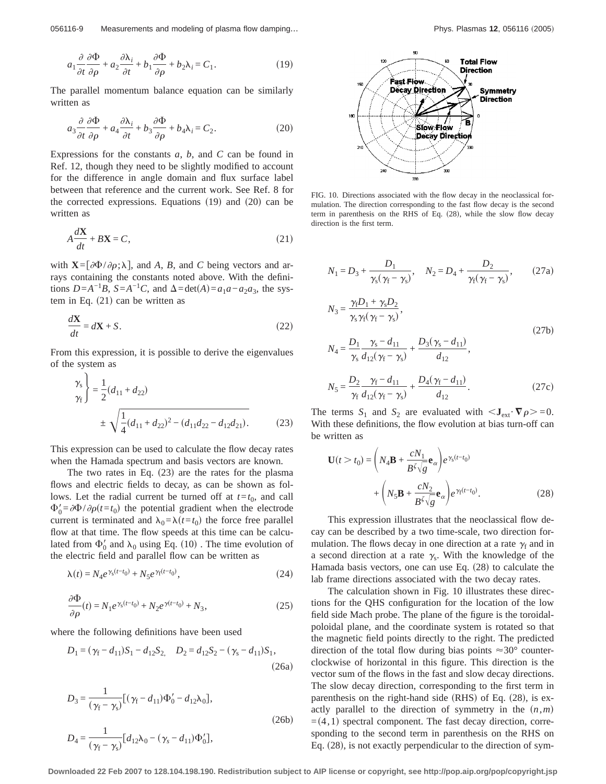056116-9 Measurements and modeling of plasma flow damping...<br> **Comparished and the phys. Plasmas 12**, 056116 (2005)

$$
a_1 \frac{\partial}{\partial t} \frac{\partial \Phi}{\partial \rho} + a_2 \frac{\partial \lambda_i}{\partial t} + b_1 \frac{\partial \Phi}{\partial \rho} + b_2 \lambda_i = C_1.
$$
 (19)

The parallel momentum balance equation can be similarly written as

$$
a_3 \frac{\partial}{\partial t} \frac{\partial \Phi}{\partial \rho} + a_4 \frac{\partial \lambda_i}{\partial t} + b_3 \frac{\partial \Phi}{\partial \rho} + b_4 \lambda_i = C_2.
$$
 (20)

Expressions for the constants *a*, *b*, and *C* can be found in Ref. 12, though they need to be slightly modified to account for the difference in angle domain and flux surface label between that reference and the current work. See Ref. 8 for the corrected expressions. Equations  $(19)$  and  $(20)$  can be written as

$$
A\frac{d\mathbf{X}}{dt} + B\mathbf{X} = C,\tag{21}
$$

with  $X = [\partial \Phi / \partial \rho; \lambda]$ , and *A*, *B*, and *C* being vectors and arrays containing the constants noted above. With the definitions  $D=A^{-1}B$ ,  $S=A^{-1}C$ , and  $\Delta = \det(A)=a_1a-a_2a_3$ , the system in Eq.  $(21)$  can be written as

$$
\frac{d\mathbf{X}}{dt} = d\mathbf{X} + S. \tag{22}
$$

From this expression, it is possible to derive the eigenvalues of the system as

$$
\begin{aligned} \gamma_{\rm s} \\ \gamma_{\rm f} \end{aligned} = \frac{1}{2} (d_{11} + d_{22})
$$
  

$$
\pm \sqrt{\frac{1}{4} (d_{11} + d_{22})^2 - (d_{11}d_{22} - d_{12}d_{21})}.
$$
 (23)

This expression can be used to calculate the flow decay rates when the Hamada spectrum and basis vectors are known.

The two rates in Eq.  $(23)$  are the rates for the plasma flows and electric fields to decay, as can be shown as follows. Let the radial current be turned off at  $t=t_0$ , and call  $\Phi_0' = \partial \Phi / \partial \rho (t = t_0)$  the potential gradient when the electrode current is terminated and  $\lambda_0 = \lambda(t=t_0)$  the force free parallel flow at that time. The flow speeds at this time can be calculated from  $\Phi'_0$  and  $\lambda_0$  using Eq. (10). The time evolution of the electric field and parallel flow can be written as

$$
\lambda(t) = N_4 e^{\gamma_s (t - t_0)} + N_5 e^{\gamma_f (t - t_0)},\tag{24}
$$

$$
\frac{\partial \Phi}{\partial \rho}(t) = N_1 e^{\gamma_s (t - t_0)} + N_2 e^{\gamma (t - t_0)} + N_3,\tag{25}
$$

where the following definitions have been used

$$
D_1 = (\gamma_f - d_{11})S_1 - d_{12}S_2, \quad D_2 = d_{12}S_2 - (\gamma_s - d_{11})S_1,
$$
\n(26a)

$$
D_3 = \frac{1}{(\gamma_f - \gamma_s)} [(\gamma_f - d_{11}) \Phi'_0 - d_{12} \lambda_0],
$$
  
\n
$$
D_4 = \frac{1}{(\gamma_f - \gamma_s)} [d_{12} \lambda_0 - (\gamma_s - d_{11}) \Phi'_0],
$$
\n(26b)



FIG. 10. Directions associated with the flow decay in the neoclassical formulation. The direction corresponding to the fast flow decay is the second term in parenthesis on the RHS of Eq.  $(28)$ , while the slow flow decay direction is the first term.

$$
N_1 = D_3 + \frac{D_1}{\gamma_s(\gamma_f - \gamma_s)}, \quad N_2 = D_4 + \frac{D_2}{\gamma_f(\gamma_f - \gamma_s)}, \quad (27a)
$$

$$
N_3 = \frac{\gamma_f D_1 + \gamma_s D_2}{\gamma_s \gamma_f (\gamma_f - \gamma_s)},
$$
  
\n
$$
N_4 = \frac{D_1}{\gamma_s} \frac{\gamma_s - d_{11}}{d_{12} (\gamma_f - \gamma_s)} + \frac{D_3 (\gamma_s - d_{11})}{d_{12}},
$$
\n(27b)

$$
N_5 = \frac{D_2}{\gamma_f} \frac{\gamma_f - d_{11}}{d_{12}(\gamma_f - \gamma_s)} + \frac{D_4(\gamma_f - d_{11})}{d_{12}}.
$$
 (27c)

The terms  $S_1$  and  $S_2$  are evaluated with  $\langle J_{ext} \cdot \nabla \rho \rangle = 0$ . With these definitions, the flow evolution at bias turn-off can be written as

$$
\mathbf{U}(t > t_0) = \left(N_4 \mathbf{B} + \frac{cN_1}{B^{\zeta} \sqrt{g}} \mathbf{e}_{\alpha}\right) e^{\gamma_s (t - t_0)} + \left(N_5 \mathbf{B} + \frac{cN_2}{B^{\zeta} \sqrt{g}} \mathbf{e}_{\alpha}\right) e^{\gamma_f (t - t_0)}.
$$
 (28)

This expression illustrates that the neoclassical flow decay can be described by a two time-scale, two direction formulation. The flows decay in one direction at a rate  $\gamma_f$  and in a second direction at a rate  $\gamma_s$ . With the knowledge of the Hamada basis vectors, one can use Eq.  $(28)$  to calculate the lab frame directions associated with the two decay rates.

The calculation shown in Fig. 10 illustrates these directions for the QHS configuration for the location of the low field side Mach probe. The plane of the figure is the toroidalpoloidal plane, and the coordinate system is rotated so that the magnetic field points directly to the right. The predicted direction of the total flow during bias points  $\approx 30^{\circ}$  counterclockwise of horizontal in this figure. This direction is the vector sum of the flows in the fast and slow decay directions. The slow decay direction, corresponding to the first term in parenthesis on the right-hand side (RHS) of Eq.  $(28)$ , is exactly parallel to the direction of symmetry in the  $(n,m)$  $=(4,1)$  spectral component. The fast decay direction, corresponding to the second term in parenthesis on the RHS on Eq.  $(28)$ , is not exactly perpendicular to the direction of sym-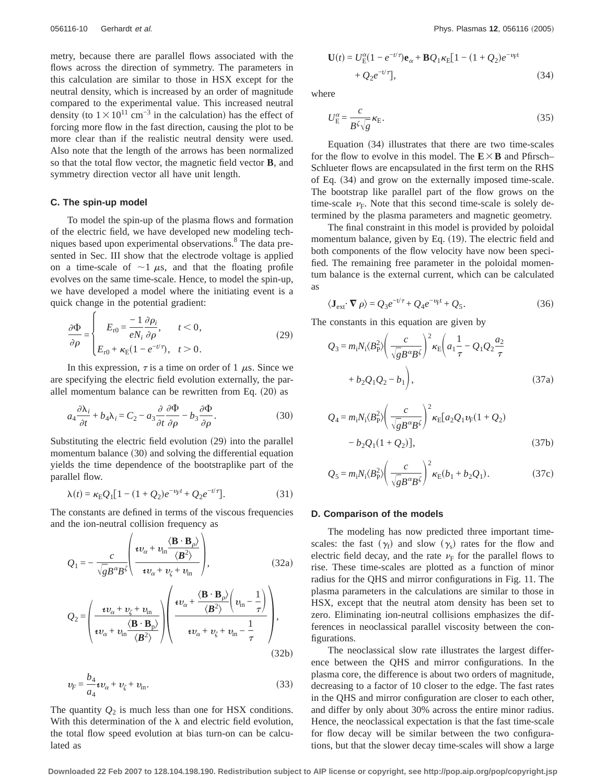metry, because there are parallel flows associated with the flows across the direction of symmetry. The parameters in this calculation are similar to those in HSX except for the neutral density, which is increased by an order of magnitude compared to the experimental value. This increased neutral density (to  $1\times10^{11}$  cm<sup>-3</sup> in the calculation) has the effect of forcing more flow in the fast direction, causing the plot to be more clear than if the realistic neutral density were used. Also note that the length of the arrows has been normalized so that the total flow vector, the magnetic field vector **B**, and symmetry direction vector all have unit length.

#### **C. The spin-up model**

To model the spin-up of the plasma flows and formation of the electric field, we have developed new modeling techniques based upon experimental observations.<sup>8</sup> The data presented in Sec. III show that the electrode voltage is applied on a time-scale of  $\sim$ 1  $\mu$ s, and that the floating profile evolves on the same time-scale. Hence, to model the spin-up, we have developed a model where the initiating event is a quick change in the potential gradient:

$$
\frac{\partial \Phi}{\partial \rho} = \begin{cases} E_{\rm r0} = \frac{-1}{eN_i} \frac{\partial \rho_i}{\partial \rho}, & t < 0, \\ E_{\rm r0} + \kappa_{\rm E} (1 - e^{-t/\tau}), & t > 0. \end{cases}
$$
(29)

In this expression,  $\tau$  is a time on order of 1  $\mu$ s. Since we are specifying the electric field evolution externally, the parallel momentum balance can be rewritten from Eq.  $(20)$  as

$$
a_4 \frac{\partial \lambda_i}{\partial t} + b_4 \lambda_i = C_2 - a_3 \frac{\partial}{\partial t} \frac{\partial \Phi}{\partial \rho} - b_3 \frac{\partial \Phi}{\partial \rho}.
$$
 (30)

Substituting the electric field evolution  $(29)$  into the parallel momentum balance  $(30)$  and solving the differential equation yields the time dependence of the bootstraplike part of the parallel flow.

$$
\lambda(t) = \kappa_{\rm E} Q_1 [1 - (1 + Q_2)e^{-\nu_F t} + Q_2 e^{-t/\tau}]. \tag{31}
$$

The constants are defined in terms of the viscous frequencies and the ion-neutral collision frequency as

$$
Q_1 = -\frac{c}{\sqrt{g}B^{\alpha}B^{\zeta}} \left( \frac{\boldsymbol{\iota}v_{\alpha} + v_{\rm in} \frac{\langle \mathbf{B} \cdot \mathbf{B}_{\rho} \rangle}{\langle B^2 \rangle}}{\boldsymbol{\iota}v_{\alpha} + v_{\zeta} + v_{\rm in}} \right), \tag{32a}
$$

$$
Q_2 = \left(\frac{\boldsymbol{\iota} \boldsymbol{v}_{\alpha} + \boldsymbol{v}_{\zeta} + \boldsymbol{v}_{\rm in}}{\boldsymbol{\iota} \boldsymbol{v}_{\alpha} + \boldsymbol{v}_{\rm in} \frac{\langle \mathbf{B} \cdot \mathbf{B}_{\rho} \rangle}{\langle \mathbf{B}^2 \rangle}}\right) \left(\frac{\boldsymbol{\iota} \boldsymbol{v}_{\alpha} + \frac{\langle \mathbf{B} \cdot \mathbf{B}_{\rho} \rangle}{\langle \mathbf{B}^2 \rangle} \left(\boldsymbol{v}_{\rm in} - \frac{1}{\tau}\right)}{\boldsymbol{\iota} \boldsymbol{v}_{\alpha} + \boldsymbol{v}_{\zeta} + \boldsymbol{v}_{\rm in} - \frac{1}{\tau}}\right),\tag{32b}
$$

$$
v_F = \frac{b_4}{a_4} \mathbf{i} v_\alpha + v_\zeta + v_{\rm in}. \tag{33}
$$

The quantity  $Q_2$  is much less than one for HSX conditions. With this determination of the  $\lambda$  and electric field evolution, the total flow speed evolution at bias turn-on can be calculated as

$$
\mathbf{U}(t) = U_{\rm E}^{\alpha} (1 - e^{-t/\tau}) \mathbf{e}_{\alpha} + \mathbf{B} Q_1 \kappa_{\rm E} [1 - (1 + Q_2) e^{-\nu_{\rm E} t} + Q_2 e^{-t/\tau}],
$$
\n(34)

where

$$
U_{\rm E}^{\alpha} = \frac{c}{B^{\zeta} \sqrt{g}} \kappa_{\rm E}.
$$
\n(35)

Equation  $(34)$  illustrates that there are two time-scales for the flow to evolve in this model. The  $E \times B$  and Pfirsch– Schlueter flows are encapsulated in the first term on the RHS of Eq.  $(34)$  and grow on the externally imposed time-scale. The bootstrap like parallel part of the flow grows on the time-scale  $\nu_F$ . Note that this second time-scale is solely determined by the plasma parameters and magnetic geometry.

The final constraint in this model is provided by poloidal momentum balance, given by Eq.  $(19)$ . The electric field and both components of the flow velocity have now been specified. The remaining free parameter in the poloidal momentum balance is the external current, which can be calculated as

$$
\langle \mathbf{J}_{\text{ext}} \cdot \nabla \rho \rangle = Q_3 e^{-t/\tau} + Q_4 e^{-v_{\text{F}}t} + Q_5. \tag{36}
$$

The constants in this equation are given by

$$
Q_3 = m_1 N_1 \langle B_P^2 \rangle \left( \frac{c}{\sqrt{g} B^{\alpha} B^{\beta}} \right)^2 \kappa_E \left( a_1 \frac{1}{\tau} - Q_1 Q_2 \frac{a_2}{\tau} + b_2 Q_1 Q_2 - b_1 \right),
$$
\n(37a)

$$
Q_4 = m_i N_i \langle B_P^2 \rangle \left( \frac{c}{\sqrt{g} B^\alpha B^\zeta} \right)^2 \kappa_E [a_2 Q_1 v_F (1 + Q_2)
$$

$$
-b_2Q_1(1+Q_2)],
$$
\t(37b)

$$
Q_5 = m_i N_i \langle B_P^2 \rangle \left( \frac{c}{\sqrt{g} B^\alpha B^\zeta} \right)^2 \kappa_E (b_1 + b_2 Q_1).
$$
 (37c)

#### **D. Comparison of the models**

The modeling has now predicted three important timescales: the fast  $(\gamma_f)$  and slow  $(\gamma_s)$  rates for the flow and electric field decay, and the rate  $\nu_F$  for the parallel flows to rise. These time-scales are plotted as a function of minor radius for the QHS and mirror configurations in Fig. 11. The plasma parameters in the calculations are similar to those in HSX, except that the neutral atom density has been set to zero. Eliminating ion-neutral collisions emphasizes the differences in neoclassical parallel viscosity between the configurations.

The neoclassical slow rate illustrates the largest difference between the QHS and mirror configurations. In the plasma core, the difference is about two orders of magnitude, decreasing to a factor of 10 closer to the edge. The fast rates in the QHS and mirror configuration are closer to each other, and differ by only about 30% across the entire minor radius. Hence, the neoclassical expectation is that the fast time-scale for flow decay will be similar between the two configurations, but that the slower decay time-scales will show a large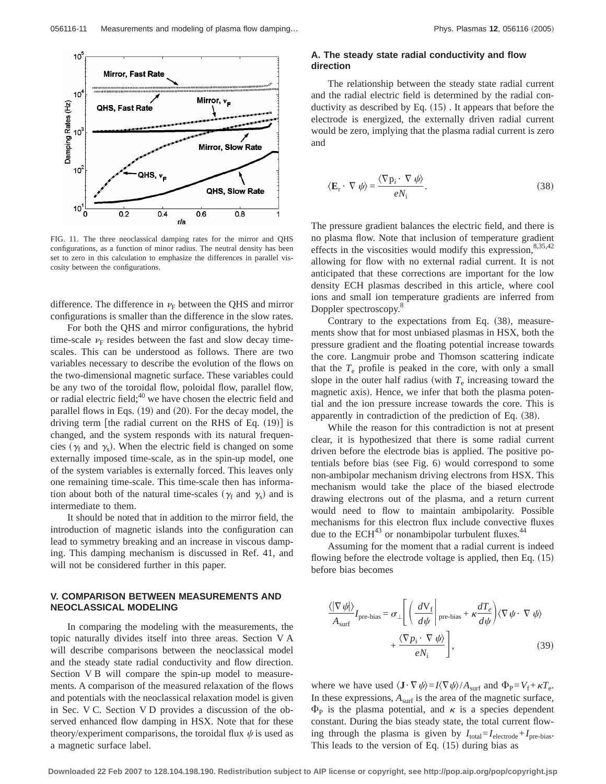

FIG. 11. The three neoclassical damping rates for the mirror and QHS configurations, as a function of minor radius. The neutral density has been set to zero in this calculation to emphasize the differences in parallel viscosity between the configurations.

difference. The difference in  $\nu_F$  between the QHS and mirror configurations is smaller than the difference in the slow rates.

For both the QHS and mirror configurations, the hybrid time-scale  $\nu_F$  resides between the fast and slow decay timescales. This can be understood as follows. There are two variables necessary to describe the evolution of the flows on the two-dimensional magnetic surface. These variables could be any two of the toroidal flow, poloidal flow, parallel flow, or radial electric field;  $40$  we have chosen the electric field and parallel flows in Eqs.  $(19)$  and  $(20)$ . For the decay model, the driving term [the radial current on the RHS of Eq.  $(19)$ ] is changed, and the system responds with its natural frequencies ( $\gamma_f$  and  $\gamma_s$ ). When the electric field is changed on some externally imposed time-scale, as in the spin-up model, one of the system variables is externally forced. This leaves only one remaining time-scale. This time-scale then has information about both of the natural time-scales ( $\gamma_f$  and  $\gamma_s$ ) and is intermediate to them.

It should be noted that in addition to the mirror field, the introduction of magnetic islands into the configuration can lead to symmetry breaking and an increase in viscous damping. This damping mechanism is discussed in Ref. 41, and will not be considered further in this paper.

# **V. COMPARISON BETWEEN MEASUREMENTS AND NEOCLASSICAL MODELING**

In comparing the modeling with the measurements, the topic naturally divides itself into three areas. Section V A will describe comparisons between the neoclassical model and the steady state radial conductivity and flow direction. Section V B will compare the spin-up model to measurements. A comparison of the measured relaxation of the flows and potentials with the neoclassical relaxation model is given in Sec. V C. Section V D provides a discussion of the observed enhanced flow damping in HSX. Note that for these theory/experiment comparisons, the toroidal flux  $\psi$  is used as a magnetic surface label.

# **A. The steady state radial conductivity and flow direction**

The relationship between the steady state radial current and the radial electric field is determined by the radial conductivity as described by Eq.  $(15)$ . It appears that before the electrode is energized, the externally driven radial current would be zero, implying that the plasma radial current is zero and

$$
\langle \mathbf{E}_{\mathbf{r}} \cdot \nabla \psi \rangle = \frac{\langle \nabla \mathbf{p}_i \cdot \nabla \psi \rangle}{e N_i}.
$$
 (38)

The pressure gradient balances the electric field, and there is no plasma flow. Note that inclusion of temperature gradient effects in the viscosities would modify this expression,  $8,35,42$ allowing for flow with no external radial current. It is not anticipated that these corrections are important for the low density ECH plasmas described in this article, where cool ions and small ion temperature gradients are inferred from Doppler spectroscopy.<sup>8</sup>

Contrary to the expectations from Eq.  $(38)$ , measurements show that for most unbiased plasmas in HSX, both the pressure gradient and the floating potential increase towards the core. Langmuir probe and Thomson scattering indicate that the  $T_e$  profile is peaked in the core, with only a small slope in the outer half radius (with  $T_e$  increasing toward the magnetic axis). Hence, we infer that both the plasma potential and the ion pressure increase towards the core. This is apparently in contradiction of the prediction of Eq.  $(38)$ .

While the reason for this contradiction is not at present clear, it is hypothesized that there is some radial current driven before the electrode bias is applied. The positive potentials before bias (see Fig.  $6$ ) would correspond to some non-ambipolar mechanism driving electrons from HSX. This mechanism would take the place of the biased electrode drawing electrons out of the plasma, and a return current would need to flow to maintain ambipolarity. Possible mechanisms for this electron flux include convective fluxes due to the  $ECH<sup>43</sup>$  or nonambipolar turbulent fluxes.<sup>44</sup>

Assuming for the moment that a radial current is indeed flowing before the electrode voltage is applied, then Eq.  $(15)$ before bias becomes

$$
\frac{\langle |\nabla \psi| \rangle}{A_{\text{surf}}} I_{\text{pre-bias}} = \sigma_{\perp} \left[ \left( \frac{dV_{\text{f}}}{d\psi} \middle|_{\text{pre-bias}} + \kappa \frac{dT_{e}}{d\psi} \right) \langle \nabla \psi \cdot \nabla \psi \rangle \right. \\ \left. + \frac{\langle \nabla p_{\text{i}} \cdot \nabla \psi \rangle}{eN_{\text{i}}} \right], \tag{39}
$$

where we have used  $\langle \mathbf{J} \cdot \nabla \psi \rangle = I \langle \nabla \psi \rangle / A_{\text{surf}}$  and  $\Phi_{\text{P}} = V_{\text{f}} + \kappa T_{\text{e}}$ . In these expressions,  $A_{\text{surf}}$  is the area of the magnetic surface,  $\Phi_{\rm P}$  is the plasma potential, and  $\kappa$  is a species dependent constant. During the bias steady state, the total current flowing through the plasma is given by  $I_{total} = I_{electrode} + I_{pre-bias}$ . This leads to the version of Eq.  $(15)$  during bias as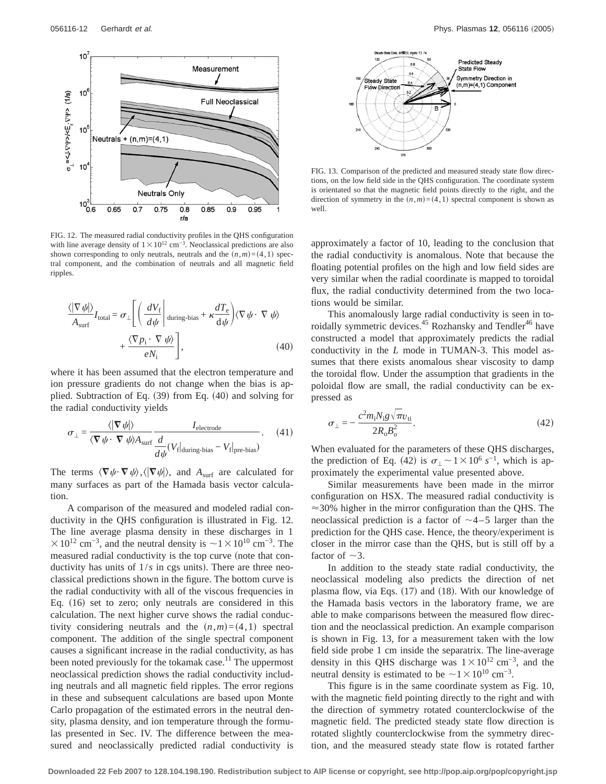

FIG. 12. The measured radial conductivity profiles in the QHS configuration with line average density of  $1 \times 10^{12}$  cm<sup>-3</sup>. Neoclassical predictions are also shown corresponding to only neutrals, neutrals and the  $(n,m)=(4,1)$  spectral component, and the combination of neutrals and all magnetic field ripples.

$$
\frac{\langle |\nabla \psi| \rangle}{A_{\text{surf}}} I_{\text{total}} = \sigma_{\perp} \left[ \left( \frac{dV_{\text{f}}}{d\psi} \middle| \text{during-bias} + \kappa \frac{dT_{\text{e}}}{d\psi} \right) \langle \nabla \psi \cdot \nabla \psi \rangle \right. \\ + \left. \frac{\langle \nabla p_{\text{i}} \cdot \nabla \psi \rangle}{eN_{\text{i}}} \right], \tag{40}
$$

where it has been assumed that the electron temperature and ion pressure gradients do not change when the bias is applied. Subtraction of Eq.  $(39)$  from Eq.  $(40)$  and solving for the radial conductivity yields

$$
\sigma_{\perp} = \frac{\langle |\nabla \psi| \rangle}{\langle \nabla \psi \cdot \nabla \psi \rangle A_{\text{surf}}} \frac{I_{\text{electrode}}}{d\psi}.
$$
 (41)

The terms  $\langle \nabla \psi \cdot \nabla \psi \rangle$ ,  $\langle |\nabla \psi| \rangle$ , and  $A_{\text{surf}}$  are calculated for many surfaces as part of the Hamada basis vector calculation.

A comparison of the measured and modeled radial conductivity in the QHS configuration is illustrated in Fig. 12. The line average plasma density in these discharges in 1  $\times$ 10<sup>12</sup> cm<sup>-3</sup>, and the neutral density is  $\sim$ 1 $\times$ 10<sup>10</sup> cm<sup>-3</sup>. The measured radial conductivity is the top curve (note that conductivity has units of  $1/s$  in cgs units). There are three neoclassical predictions shown in the figure. The bottom curve is the radial conductivity with all of the viscous frequencies in Eq.  $(16)$  set to zero; only neutrals are considered in this calculation. The next higher curve shows the radial conductivity considering neutrals and the  $(n,m)=(4,1)$  spectral component. The addition of the single spectral component causes a significant increase in the radial conductivity, as has been noted previously for the tokamak case.<sup>11</sup> The uppermost neoclassical prediction shows the radial conductivity including neutrals and all magnetic field ripples. The error regions in these and subsequent calculations are based upon Monte Carlo propagation of the estimated errors in the neutral density, plasma density, and ion temperature through the formulas presented in Sec. IV. The difference between the measured and neoclassically predicted radial conductivity is



FIG. 13. Comparison of the predicted and measured steady state flow directions, on the low field side in the QHS configuration. The coordinate system is orientated so that the magnetic field points directly to the right, and the direction of symmetry in the  $(n,m)=(4,1)$  spectral component is shown as well.

approximately a factor of 10, leading to the conclusion that the radial conductivity is anomalous. Note that because the floating potential profiles on the high and low field sides are very similar when the radial coordinate is mapped to toroidal flux, the radial conductivity determined from the two locations would be similar.

This anomalously large radial conductivity is seen in toroidally symmetric devices.<sup>45</sup> Rozhansky and Tendler<sup>46</sup> have constructed a model that approximately predicts the radial conductivity in the *L* mode in TUMAN-3. This model assumes that there exists anomalous shear viscosity to damp the toroidal flow. Under the assumption that gradients in the poloidal flow are small, the radial conductivity can be expressed as

$$
\sigma_{\perp} = -\frac{c^2 m_i N_{i} g \sqrt{\pi} v_{\rm ti}}{2R_o B_o^2}.
$$
\n(42)

When evaluated for the parameters of these QHS discharges, the prediction of Eq. (42) is  $\sigma_{\perp} \sim 1 \times 10^6$  s<sup>-1</sup>, which is approximately the experimental value presented above.

Similar measurements have been made in the mirror configuration on HSX. The measured radial conductivity is  $\approx$  30% higher in the mirror configuration than the QHS. The neoclassical prediction is a factor of  $\sim$  4–5 larger than the prediction for the QHS case. Hence, the theory/experiment is closer in the mirror case than the QHS, but is still off by a factor of  $\sim$ 3.

In addition to the steady state radial conductivity, the neoclassical modeling also predicts the direction of net plasma flow, via Eqs.  $(17)$  and  $(18)$ . With our knowledge of the Hamada basis vectors in the laboratory frame, we are able to make comparisons between the measured flow direction and the neoclassical prediction. An example comparison is shown in Fig. 13, for a measurement taken with the low field side probe 1 cm inside the separatrix. The line-average density in this QHS discharge was  $1\times10^{12}$  cm<sup>-3</sup>, and the neutral density is estimated to be  $\sim$ 1×10<sup>10</sup> cm<sup>-3</sup>.

This figure is in the same coordinate system as Fig. 10, with the magnetic field pointing directly to the right and with the direction of symmetry rotated counterclockwise of the magnetic field. The predicted steady state flow direction is rotated slightly counterclockwise from the symmetry direction, and the measured steady state flow is rotated farther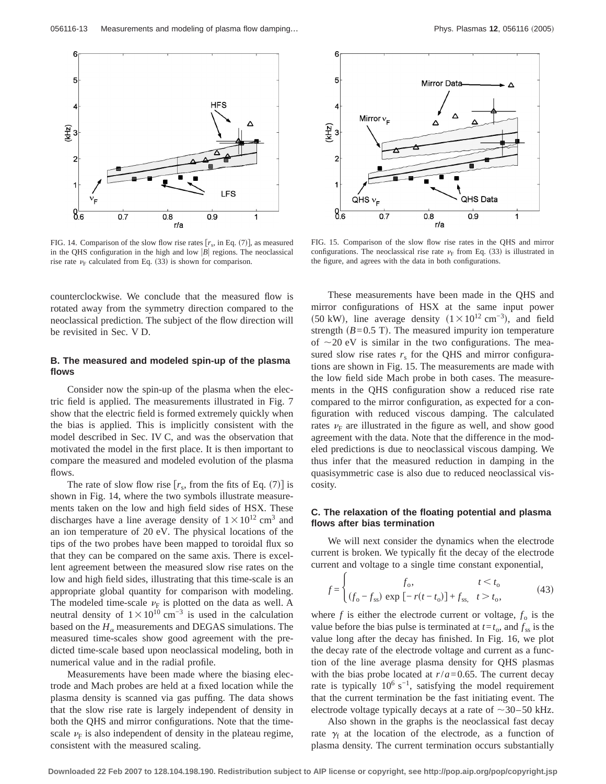

FIG. 14. Comparison of the slow flow rise rates  $[r_s, \text{ in Eq. (7)}]$ , as measured in the QHS configuration in the high and low  $|B|$  regions. The neoclassical rise rate  $\nu_F$  calculated from Eq. (33) is shown for comparison.

counterclockwise. We conclude that the measured flow is rotated away from the symmetry direction compared to the neoclassical prediction. The subject of the flow direction will be revisited in Sec. V D.

### **B. The measured and modeled spin-up of the plasma flows**

Consider now the spin-up of the plasma when the electric field is applied. The measurements illustrated in Fig. 7 show that the electric field is formed extremely quickly when the bias is applied. This is implicitly consistent with the model described in Sec. IV C, and was the observation that motivated the model in the first place. It is then important to compare the measured and modeled evolution of the plasma flows.

The rate of slow flow rise  $[r_s,$  from the fits of Eq. (7)] is shown in Fig. 14, where the two symbols illustrate measurements taken on the low and high field sides of HSX. These discharges have a line average density of  $1 \times 10^{12}$  cm<sup>3</sup> and an ion temperature of 20 eV. The physical locations of the tips of the two probes have been mapped to toroidal flux so that they can be compared on the same axis. There is excellent agreement between the measured slow rise rates on the low and high field sides, illustrating that this time-scale is an appropriate global quantity for comparison with modeling. The modeled time-scale  $\nu_F$  is plotted on the data as well. A neutral density of  $1 \times 10^{10}$  cm<sup>-3</sup> is used in the calculation based on the  $H_{\alpha}$  measurements and DEGAS simulations. The measured time-scales show good agreement with the predicted time-scale based upon neoclassical modeling, both in numerical value and in the radial profile.

Measurements have been made where the biasing electrode and Mach probes are held at a fixed location while the plasma density is scanned via gas puffing. The data shows that the slow rise rate is largely independent of density in both the QHS and mirror configurations. Note that the timescale  $\nu_F$  is also independent of density in the plateau regime, consistent with the measured scaling.



FIG. 15. Comparison of the slow flow rise rates in the QHS and mirror configurations. The neoclassical rise rate  $\nu_F$  from Eq. (33) is illustrated in the figure, and agrees with the data in both configurations.

These measurements have been made in the QHS and mirror configurations of HSX at the same input power (50 kW), line average density  $(1 \times 10^{12} \text{ cm}^{-3})$ , and field strength  $(B=0.5 \text{ T})$ . The measured impurity ion temperature of  $\sim$ 20 eV is similar in the two configurations. The measured slow rise rates  $r<sub>s</sub>$  for the QHS and mirror configurations are shown in Fig. 15. The measurements are made with the low field side Mach probe in both cases. The measurements in the QHS configuration show a reduced rise rate compared to the mirror configuration, as expected for a configuration with reduced viscous damping. The calculated rates  $\nu_F$  are illustrated in the figure as well, and show good agreement with the data. Note that the difference in the modeled predictions is due to neoclassical viscous damping. We thus infer that the measured reduction in damping in the quasisymmetric case is also due to reduced neoclassical viscosity.

# **C. The relaxation of the floating potential and plasma flows after bias termination**

We will next consider the dynamics when the electrode current is broken. We typically fit the decay of the electrode current and voltage to a single time constant exponential,

$$
f = \begin{cases} f_0, & t < t_0 \\ (f_0 - f_{ss}) \exp[-r(t - t_0)] + f_{ss}, & t > t_0, \end{cases}
$$
(43)

where  $f$  is either the electrode current or voltage,  $f_0$  is the value before the bias pulse is terminated at  $t = t_0$ , and  $f_{ss}$  is the value long after the decay has finished. In Fig. 16, we plot the decay rate of the electrode voltage and current as a function of the line average plasma density for QHS plasmas with the bias probe located at  $r/a = 0.65$ . The current decay rate is typically  $10^6$  s<sup>-1</sup>, satisfying the model requirement that the current termination be the fast initiating event. The electrode voltage typically decays at a rate of  $\sim$ 30–50 kHz.

Also shown in the graphs is the neoclassical fast decay rate  $\gamma_f$  at the location of the electrode, as a function of plasma density. The current termination occurs substantially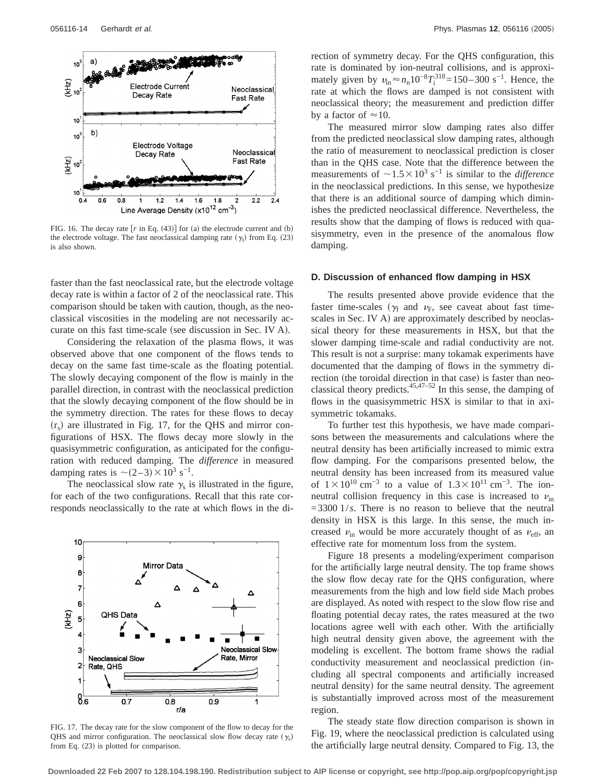

FIG. 16. The decay rate  $[r \text{ in Eq. (43)}]$  for (a) the electrode current and (b) the electrode voltage. The fast neoclassical damping rate ( $\gamma_f$ ) from Eq. (23) is also shown.

faster than the fast neoclassical rate, but the electrode voltage decay rate is within a factor of 2 of the neoclassical rate. This comparison should be taken with caution, though, as the neoclassical viscosities in the modeling are not necessarily accurate on this fast time-scale (see discussion in Sec. IV A).

Considering the relaxation of the plasma flows, it was observed above that one component of the flows tends to decay on the same fast time-scale as the floating potential. The slowly decaying component of the flow is mainly in the parallel direction, in contrast with the neoclassical prediction that the slowly decaying component of the flow should be in the symmetry direction. The rates for these flows to decay  $(r<sub>s</sub>)$  are illustrated in Fig. 17, for the QHS and mirror configurations of HSX. The flows decay more slowly in the quasisymmetric configuration, as anticipated for the configuration with reduced damping. The *difference* in measured damping rates is  $\sim$ (2–3)×10<sup>3</sup> s<sup>-1</sup>.

The neoclassical slow rate  $\gamma_s$  is illustrated in the figure, for each of the two configurations. Recall that this rate corresponds neoclassically to the rate at which flows in the di-



FIG. 17. The decay rate for the slow component of the flow to decay for the QHS and mirror configuration. The neoclassical slow flow decay rate  $(\gamma_s)$ from Eq.  $(23)$  is plotted for comparison.

rection of symmetry decay. For the QHS configuration, this rate is dominated by ion-neutral collisions, and is approximately given by  $v_{\text{in}} \approx n_{\text{n}} 10^{-8} T_{\text{i}}^{318} = 150 - 300 \text{ s}^{-1}$ . Hence, the rate at which the flows are damped is not consistent with neoclassical theory; the measurement and prediction differ by a factor of  $\approx$ 10.

The measured mirror slow damping rates also differ from the predicted neoclassical slow damping rates, although the ratio of measurement to neoclassical prediction is closer than in the QHS case. Note that the difference between the measurements of  $\sim$ 1.5×10<sup>3</sup> s<sup>-1</sup> is similar to the *difference* in the neoclassical predictions. In this sense, we hypothesize that there is an additional source of damping which diminishes the predicted neoclassical difference. Nevertheless, the results show that the damping of flows is reduced with quasisymmetry, even in the presence of the anomalous flow damping.

### **D. Discussion of enhanced flow damping in HSX**

The results presented above provide evidence that the faster time-scales ( $\gamma_f$  and  $\nu_F$ , see caveat about fast timescales in Sec. IV A) are approximately described by neoclassical theory for these measurements in HSX, but that the slower damping time-scale and radial conductivity are not. This result is not a surprise: many tokamak experiments have documented that the damping of flows in the symmetry direction (the toroidal direction in that case) is faster than neoclassical theory predicts. $45,47-52$  In this sense, the damping of flows in the quasisymmetric HSX is similar to that in axisymmetric tokamaks.

To further test this hypothesis, we have made comparisons between the measurements and calculations where the neutral density has been artificially increased to mimic extra flow damping. For the comparisons presented below, the neutral density has been increased from its measured value of  $1 \times 10^{10}$  cm<sup>-3</sup> to a value of  $1.3 \times 10^{11}$  cm<sup>-3</sup>. The ionneutral collision frequency in this case is increased to  $v_{\text{in}}$ =3300 1/*s*. There is no reason to believe that the neutral density in HSX is this large. In this sense, the much increased  $v_{\text{in}}$  would be more accurately thought of as  $v_{\text{eff}}$ , an effective rate for momentum loss from the system.

Figure 18 presents a modeling/experiment comparison for the artificially large neutral density. The top frame shows the slow flow decay rate for the QHS configuration, where measurements from the high and low field side Mach probes are displayed. As noted with respect to the slow flow rise and floating potential decay rates, the rates measured at the two locations agree well with each other. With the artificially high neutral density given above, the agreement with the modeling is excellent. The bottom frame shows the radial conductivity measurement and neoclassical prediction (including all spectral components and artificially increased neutral density) for the same neutral density. The agreement is substantially improved across most of the measurement region.

The steady state flow direction comparison is shown in Fig. 19, where the neoclassical prediction is calculated using the artificially large neutral density. Compared to Fig. 13, the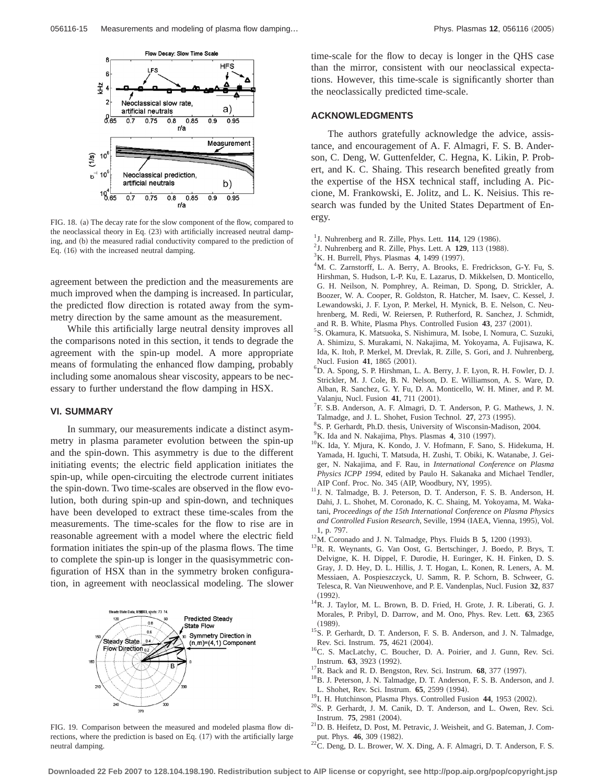

FIG. 18. (a) The decay rate for the slow component of the flow, compared to the neoclassical theory in Eq.  $(23)$  with artificially increased neutral damping, and (b) the measured radial conductivity compared to the prediction of Eq.  $(16)$  with the increased neutral damping.

agreement between the prediction and the measurements are much improved when the damping is increased. In particular, the predicted flow direction is rotated away from the symmetry direction by the same amount as the measurement.

While this artificially large neutral density improves all the comparisons noted in this section, it tends to degrade the agreement with the spin-up model. A more appropriate means of formulating the enhanced flow damping, probably including some anomalous shear viscosity, appears to be necessary to further understand the flow damping in HSX.

### **VI. SUMMARY**

In summary, our measurements indicate a distinct asymmetry in plasma parameter evolution between the spin-up and the spin-down. This asymmetry is due to the different initiating events; the electric field application initiates the spin-up, while open-circuiting the electrode current initiates the spin-down. Two time-scales are observed in the flow evolution, both during spin-up and spin-down, and techniques have been developed to extract these time-scales from the measurements. The time-scales for the flow to rise are in reasonable agreement with a model where the electric field formation initiates the spin-up of the plasma flows. The time to complete the spin-up is longer in the quasisymmetric configuration of HSX than in the symmetry broken configuration, in agreement with neoclassical modeling. The slower



FIG. 19. Comparison between the measured and modeled plasma flow directions, where the prediction is based on Eq.  $(17)$  with the artificially large neutral damping.

time-scale for the flow to decay is longer in the QHS case than the mirror, consistent with our neoclassical expectations. However, this time-scale is significantly shorter than the neoclassically predicted time-scale.

# **ACKNOWLEDGMENTS**

The authors gratefully acknowledge the advice, assistance, and encouragement of A. F. Almagri, F. S. B. Anderson, C. Deng, W. Guttenfelder, C. Hegna, K. Likin, P. Probert, and K. C. Shaing. This research benefited greatly from the expertise of the HSX technical staff, including A. Piccione, M. Frankowski, E. Jolitz, and L. K. Neisius. This research was funded by the United States Department of Energy.

- <sup>1</sup>J. Nuhrenberg and R. Zille, Phys. Lett. **114**, 129 (1986).  $^{2}$ I. Nuhrenberg and B. Zille, Phys. Lett. **4, 129**, 113 (108)
- $2$ J. Nuhrenberg and R. Zille, Phys. Lett. A **129**, 113 (1988).
- <sup>3</sup>K. H. Burrell, Phys. Plasmas **4**, 1499 (1997).
- <sup>4</sup>M. C. Zarnstorff, L. A. Berry, A. Brooks, E. Fredrickson, G-Y. Fu, S. Hirshman, S. Hudson, L-P. Ku, E. Lazarus, D. Mikkelsen, D. Monticello, G. H. Neilson, N. Pomphrey, A. Reiman, D. Spong, D. Strickler, A. Boozer, W. A. Cooper, R. Goldston, R. Hatcher, M. Isaev, C. Kessel, J. Lewandowski, J. F. Lyon, P. Merkel, H. Mynick, B. E. Nelson, C. Neuhrenberg, M. Redi, W. Reiersen, P. Rutherford, R. Sanchez, J. Schmidt, and R. B. White, Plasma Phys. Controlled Fusion 43, 237 (2001).
- S. Okamura, K. Matsuoka, S. Nishimura, M. Isobe, I. Nomura, C. Suzuki, A. Shimizu, S. Murakami, N. Nakajima, M. Yokoyama, A. Fujisawa, K. Ida, K. Itoh, P. Merkel, M. Drevlak, R. Zille, S. Gori, and J. Nuhrenberg, Nucl. Fusion 41, 1865 (2001).
- D. A. Spong, S. P. Hirshman, L. A. Berry, J. F. Lyon, R. H. Fowler, D. J. Strickler, M. J. Cole, B. N. Nelson, D. E. Williamson, A. S. Ware, D. Alban, R. Sanchez, G. Y. Fu, D. A. Monticello, W. H. Miner, and P. M. Valanju, Nucl. Fusion 41, 711 (2001).
- <sup>7</sup>F. S.B. Anderson, A. F. Almagri, D. T. Anderson, P. G. Mathews, J. N. Talmadge, and J. L. Shohet, Fusion Technol. **27**, 273 (1995).
- S. P. Gerhardt, Ph.D. thesis, University of Wisconsin-Madison, 2004.
- $^{9}$ K. Ida and N. Nakajima, Phys. Plasmas 4, 310 (1997).
- <sup>10</sup>K. Ida, Y. Mjura, K. Kondo, J. V. Hofmann, F. Sano, S. Hidekuma, H. Yamada, H. Iguchi, T. Matsuda, H. Zushi, T. Obiki, K. Watanabe, J. Geiger, N. Nakajima, and F. Rau, in *International Conference on Plasma Physics ICPP 1994*, edited by Paulo H. Sakanaka and Michael Tendler, AIP Conf. Proc. No. 345 (AIP, Woodbury, NY, 1995).
- $11$ J. N. Talmadge, B. J. Peterson, D. T. Anderson, F. S. B. Anderson, H. Dahi, J. L. Shohet, M. Coronado, K. C. Shaing, M. Yokoyama, M. Wakatani, *Proceedings of the 15th International Conference on Plasma Physics* and Controlled Fusion Research, Seville, 1994 (IAEA, Vienna, 1995), Vol.
- 
- 1, p. 797.<br><sup>12</sup>M. Coronado and J. N. Talmadge, Phys. Fluids B **5**, 1200 (1993). <sup>13</sup>R. R. Weynants, G. Van Oost, G. Bertschinger, J. Boedo, P. Brys, T. Delvigne, K. H. Dippel, F. Durodie, H. Euringer, K. H. Finken, D. S. Gray, J. D. Hey, D. L. Hillis, J. T. Hogan, L. Konen, R. Leners, A. M. Messiaen, A. Pospieszczyck, U. Samm, R. P. Schorn, B. Schweer, G. Telesca, R. Van Nieuwenhove, and P. E. Vandenplas, Nucl. Fusion **32**, 837
- (1992).  $14R$ . J. Taylor, M. L. Brown, B. D. Fried, H. Grote, J. R. Liberati, G. J. Morales, P. Pribyl, D. Darrow, and M. Ono, Phys. Rev. Lett. **63**, 2365
- (1989).  $15S$ . P. Gerhardt, D. T. Anderson, F. S. B. Anderson, and J. N. Talmadge,
- Rev. Sci. Instrum. **75**, 4621 (2004). <sup>16</sup>C. S. MacLatchy, C. Boucher, D. A. Poirier, and J. Gunn, Rev. Sci.
- 
- Instrum. **63**, 3923 (1992).<br><sup>17</sup>R. Back and R. D. Bengston, Rev. Sci. Instrum. **68**, 377 (1997).<br><sup>18</sup>B. J. Peterson, J. N. Talmadge, D. T. Anderson, F. S. B. Anderson, and J.<br>L. Shohet, Rev. Sci. Instrum. **65**, 2599 (1994)
- 
- <sup>19</sup>I. H. Hutchinson, Plasma Phys. Controlled Fusion **44**, 1953 (2002). <sup>20</sup>S. P. Gerhardt, J. M. Canik, D. T. Anderson, and L. Owen, Rev. Sci. Instrum. **75**, 2981 (2004). <sup>21</sup>D. B. Heifetz, D. Post, M. Petravic, J. Weisheit, and G. Bateman, J. Com-
- 
- put. Phys. **46**, 309 (1982). <sup>22</sup>C. Deng, D. L. Brower, W. X. Ding, A. F. Almagri, D. T. Anderson, F. S.